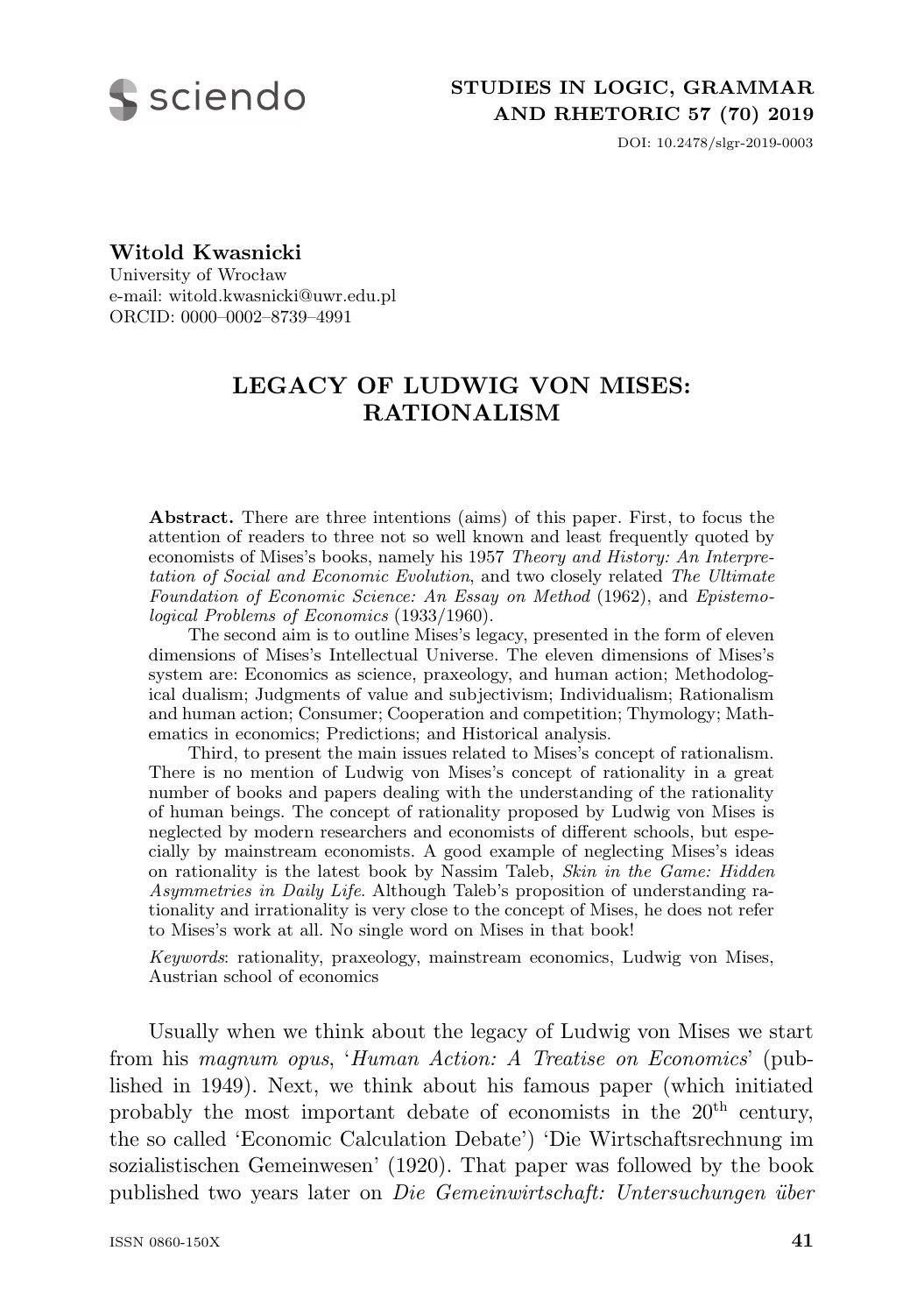

DOI: 10.2478/slgr-2019-0003

#### **Witold Kwasnicki**

University of Wrocław e-mail: witold.kwasnicki@uwr.edu.pl ORCID: 0000–0002–8739–4991

# **LEGACY OF LUDWIG VON MISES: RATIONALISM**

**Abstract.** There are three intentions (aims) of this paper. First, to focus the attention of readers to three not so well known and least frequently quoted by economists of Mises's books, namely his 1957 *Theory and History: An Interpretation of Social and Economic Evolution*, and two closely related *The Ultimate Foundation of Economic Science: An Essay on Method* (1962), and *Epistemological Problems of Economics* (1933/1960).

The second aim is to outline Mises's legacy, presented in the form of eleven dimensions of Mises's Intellectual Universe. The eleven dimensions of Mises's system are: Economics as science, praxeology, and human action; Methodological dualism; Judgments of value and subjectivism; Individualism; Rationalism and human action; Consumer; Cooperation and competition; Thymology; Mathematics in economics; Predictions; and Historical analysis.

Third, to present the main issues related to Mises's concept of rationalism. There is no mention of Ludwig von Mises's concept of rationality in a great number of books and papers dealing with the understanding of the rationality of human beings. The concept of rationality proposed by Ludwig von Mises is neglected by modern researchers and economists of different schools, but especially by mainstream economists. A good example of neglecting Mises's ideas on rationality is the latest book by Nassim Taleb, *Skin in the Game: Hidden Asymmetries in Daily Life*. Although Taleb's proposition of understanding rationality and irrationality is very close to the concept of Mises, he does not refer to Mises's work at all. No single word on Mises in that book!

*Keywords*: rationality, praxeology, mainstream economics, Ludwig von Mises, Austrian school of economics

Usually when we think about the legacy of Ludwig von Mises we start from his *magnum opus*, '*Human Action: A Treatise on Economics*' (published in 1949). Next, we think about his famous paper (which initiated probably the most important debate of economists in the  $20<sup>th</sup>$  century, the so called 'Economic Calculation Debate') 'Die Wirtschaftsrechnung im sozialistischen Gemeinwesen' (1920). That paper was followed by the book published two years later on *Die Gemeinwirtschaft: Untersuchungen ¨uber*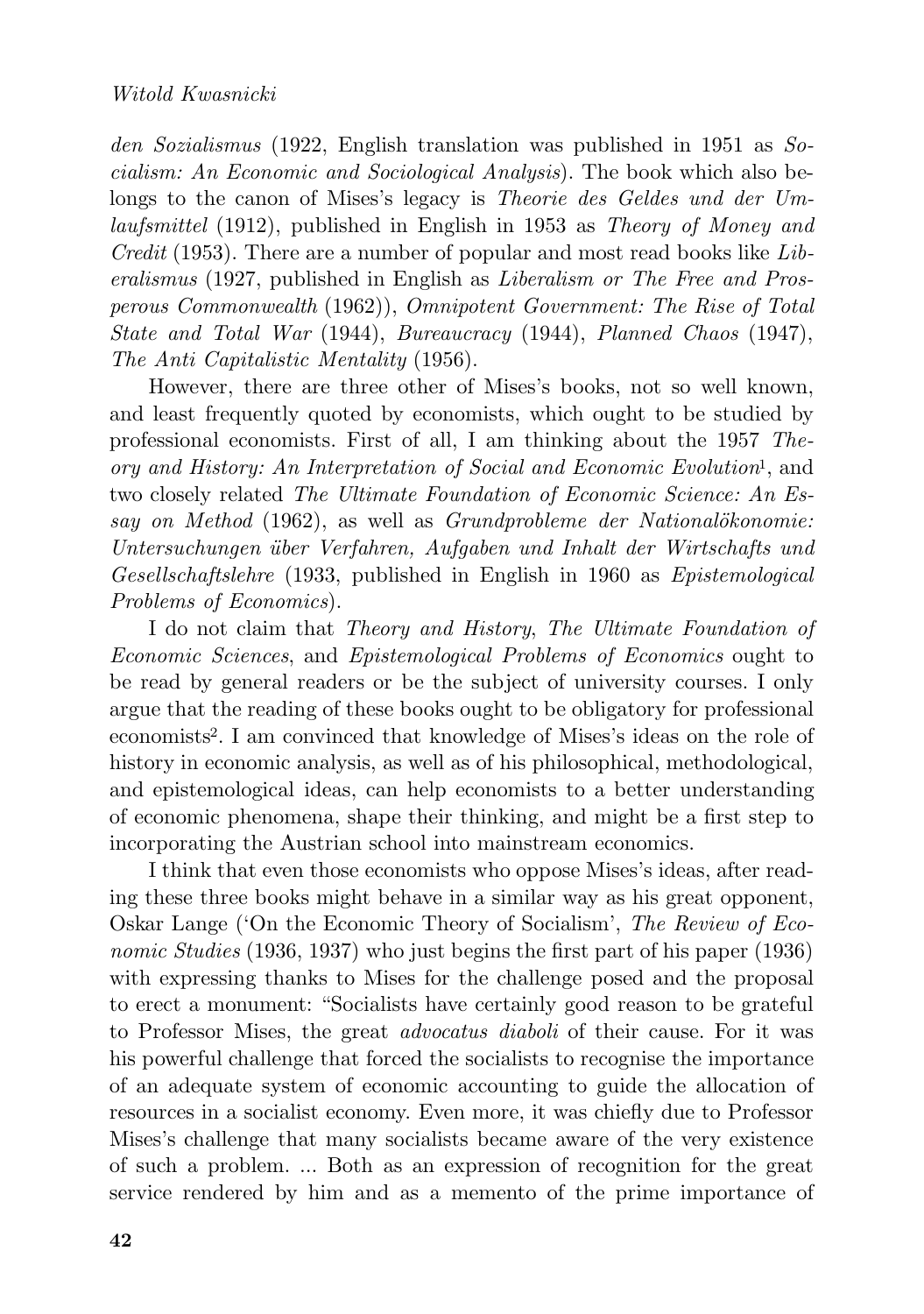*den Sozialismus* (1922, English translation was published in 1951 as *Socialism: An Economic and Sociological Analysis*). The book which also belongs to the canon of Mises's legacy is *Theorie des Geldes und der Umlaufsmittel* (1912), published in English in 1953 as *Theory of Money and Credit* (1953). There are a number of popular and most read books like *Liberalismus* (1927, published in English as *Liberalism or The Free and Prosperous Commonwealth* (1962)), *Omnipotent Government: The Rise of Total State and Total War* (1944), *Bureaucracy* (1944), *Planned Chaos* (1947), *The Anti Capitalistic Mentality* (1956).

However, there are three other of Mises's books, not so well known, and least frequently quoted by economists, which ought to be studied by professional economists. First of all, I am thinking about the 1957 *Theory and History: An Interpretation of Social and Economic Evolution*1, and two closely related *The Ultimate Foundation of Economic Science: An Essay on Method* (1962), as well as *Grundprobleme der Nationalökonomie: Untersuchungen ¨uber Verfahren, Aufgaben und Inhalt der Wirtschafts und Gesellschaftslehre* (1933, published in English in 1960 as *Epistemological Problems of Economics*).

I do not claim that *Theory and History*, *The Ultimate Foundation of Economic Sciences*, and *Epistemological Problems of Economics* ought to be read by general readers or be the subject of university courses. I only argue that the reading of these books ought to be obligatory for professional economists2. I am convinced that knowledge of Mises's ideas on the role of history in economic analysis, as well as of his philosophical, methodological, and epistemological ideas, can help economists to a better understanding of economic phenomena, shape their thinking, and might be a first step to incorporating the Austrian school into mainstream economics.

I think that even those economists who oppose Mises's ideas, after reading these three books might behave in a similar way as his great opponent, Oskar Lange ('On the Economic Theory of Socialism', *The Review of Economic Studies* (1936, 1937) who just begins the first part of his paper (1936) with expressing thanks to Mises for the challenge posed and the proposal to erect a monument: "Socialists have certainly good reason to be grateful to Professor Mises, the great *advocatus diaboli* of their cause. For it was his powerful challenge that forced the socialists to recognise the importance of an adequate system of economic accounting to guide the allocation of resources in a socialist economy. Even more, it was chiefly due to Professor Mises's challenge that many socialists became aware of the very existence of such a problem. ... Both as an expression of recognition for the great service rendered by him and as a memento of the prime importance of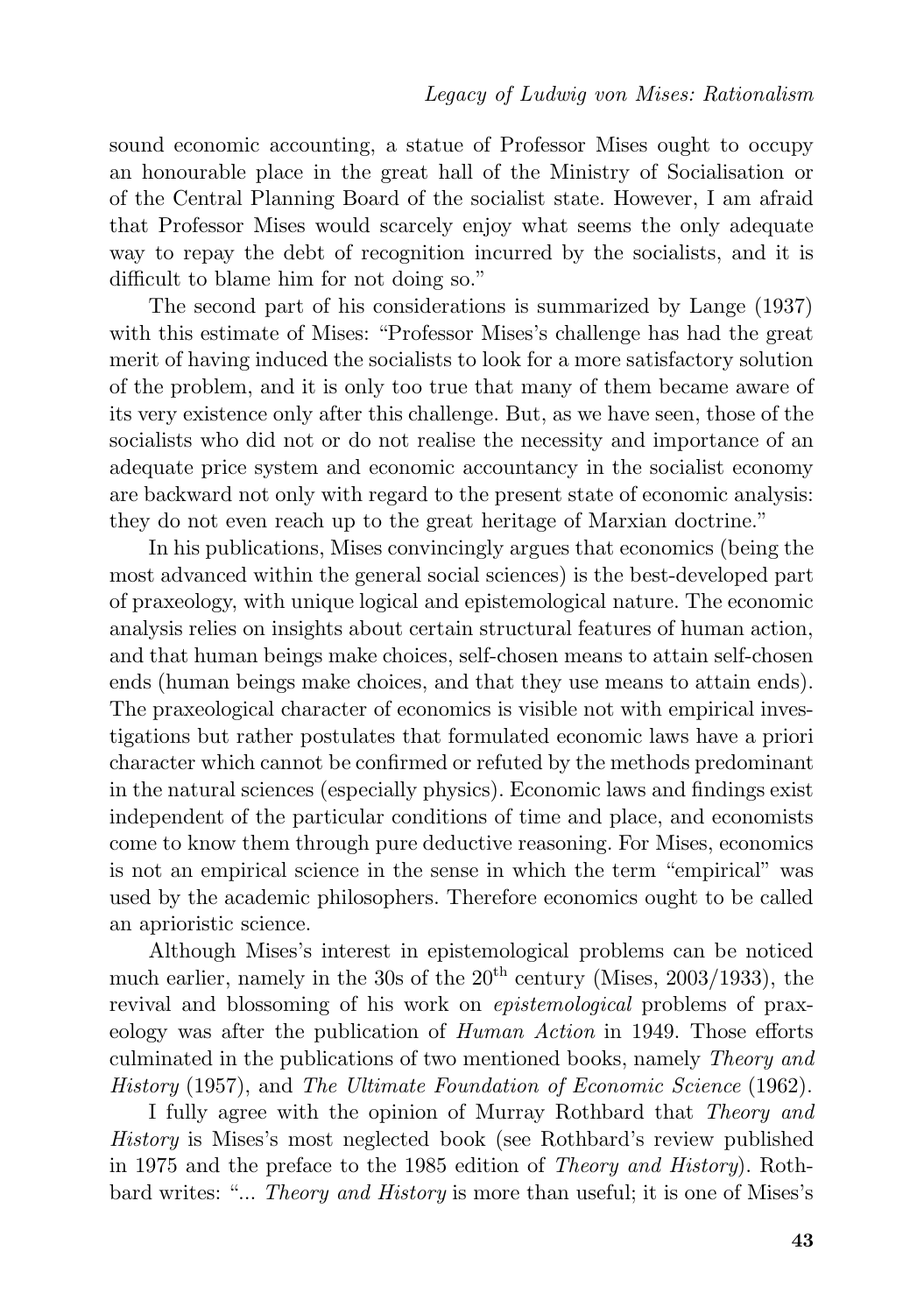sound economic accounting, a statue of Professor Mises ought to occupy an honourable place in the great hall of the Ministry of Socialisation or of the Central Planning Board of the socialist state. However, I am afraid that Professor Mises would scarcely enjoy what seems the only adequate way to repay the debt of recognition incurred by the socialists, and it is difficult to blame him for not doing so."

The second part of his considerations is summarized by Lange (1937) with this estimate of Mises: "Professor Mises's challenge has had the great merit of having induced the socialists to look for a more satisfactory solution of the problem, and it is only too true that many of them became aware of its very existence only after this challenge. But, as we have seen, those of the socialists who did not or do not realise the necessity and importance of an adequate price system and economic accountancy in the socialist economy are backward not only with regard to the present state of economic analysis: they do not even reach up to the great heritage of Marxian doctrine."

In his publications, Mises convincingly argues that economics (being the most advanced within the general social sciences) is the best-developed part of praxeology, with unique logical and epistemological nature. The economic analysis relies on insights about certain structural features of human action, and that human beings make choices, self-chosen means to attain self-chosen ends (human beings make choices, and that they use means to attain ends). The praxeological character of economics is visible not with empirical investigations but rather postulates that formulated economic laws have a priori character which cannot be confirmed or refuted by the methods predominant in the natural sciences (especially physics). Economic laws and findings exist independent of the particular conditions of time and place, and economists come to know them through pure deductive reasoning. For Mises, economics is not an empirical science in the sense in which the term "empirical" was used by the academic philosophers. Therefore economics ought to be called an aprioristic science.

Although Mises's interest in epistemological problems can be noticed much earlier, namely in the 30s of the  $20<sup>th</sup>$  century (Mises,  $2003/1933$ ), the revival and blossoming of his work on *epistemological* problems of praxeology was after the publication of *Human Action* in 1949. Those efforts culminated in the publications of two mentioned books, namely *Theory and History* (1957), and *The Ultimate Foundation of Economic Science* (1962).

I fully agree with the opinion of Murray Rothbard that *Theory and History* is Mises's most neglected book (see Rothbard's review published in 1975 and the preface to the 1985 edition of *Theory and History*). Rothbard writes: "... *Theory and History* is more than useful; it is one of Mises's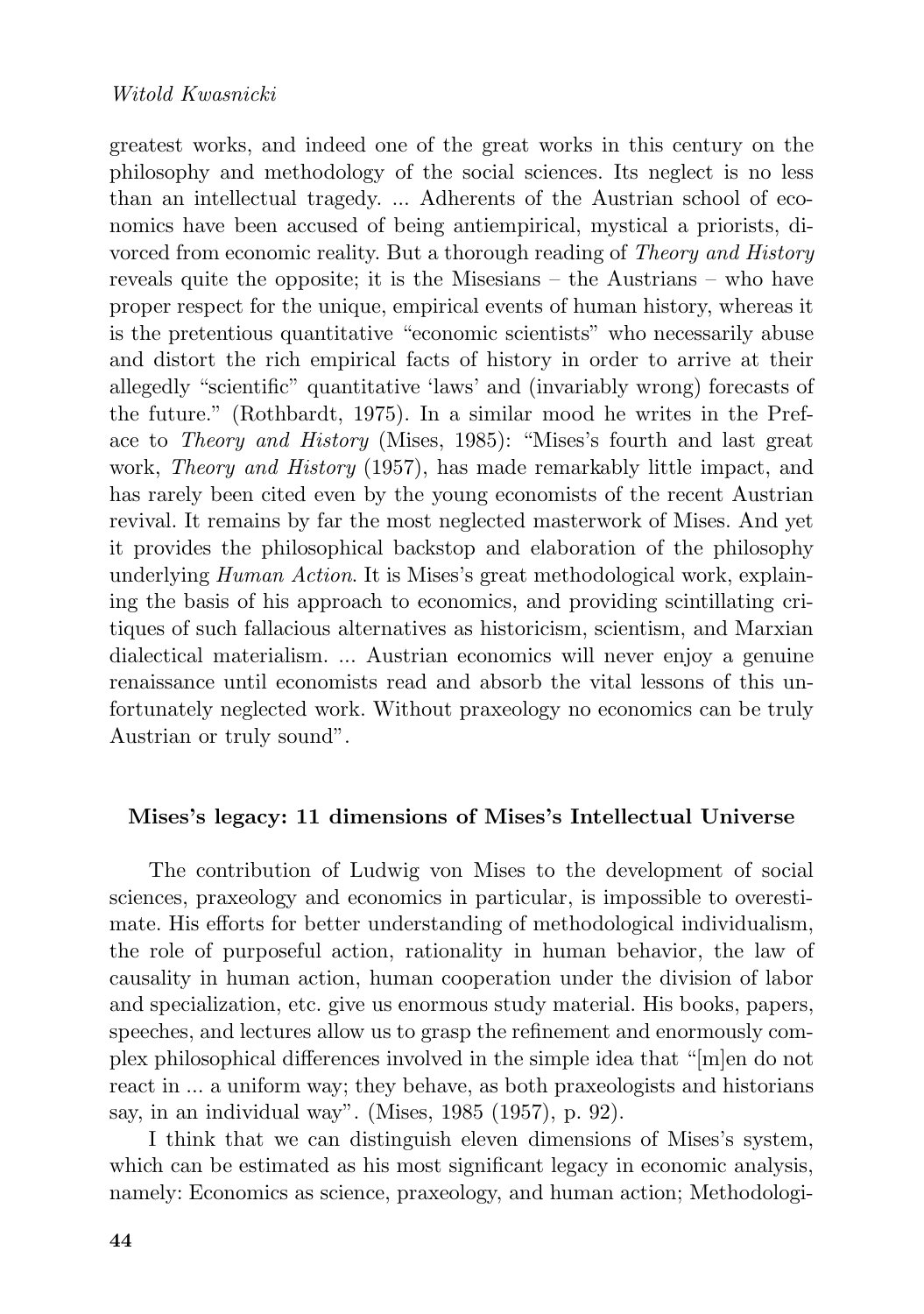greatest works, and indeed one of the great works in this century on the philosophy and methodology of the social sciences. Its neglect is no less than an intellectual tragedy. ... Adherents of the Austrian school of economics have been accused of being antiempirical, mystical a priorists, divorced from economic reality. But a thorough reading of *Theory and History* reveals quite the opposite; it is the Misesians – the Austrians – who have proper respect for the unique, empirical events of human history, whereas it is the pretentious quantitative "economic scientists" who necessarily abuse and distort the rich empirical facts of history in order to arrive at their allegedly "scientific" quantitative 'laws' and (invariably wrong) forecasts of the future." (Rothbardt, 1975). In a similar mood he writes in the Preface to *Theory and History* (Mises, 1985): "Mises's fourth and last great work, *Theory and History* (1957), has made remarkably little impact, and has rarely been cited even by the young economists of the recent Austrian revival. It remains by far the most neglected masterwork of Mises. And yet it provides the philosophical backstop and elaboration of the philosophy underlying *Human Action*. It is Mises's great methodological work, explaining the basis of his approach to economics, and providing scintillating critiques of such fallacious alternatives as historicism, scientism, and Marxian dialectical materialism. ... Austrian economics will never enjoy a genuine renaissance until economists read and absorb the vital lessons of this unfortunately neglected work. Without praxeology no economics can be truly Austrian or truly sound".

## **Mises's legacy: 11 dimensions of Mises's Intellectual Universe**

The contribution of Ludwig von Mises to the development of social sciences, praxeology and economics in particular, is impossible to overestimate. His efforts for better understanding of methodological individualism, the role of purposeful action, rationality in human behavior, the law of causality in human action, human cooperation under the division of labor and specialization, etc. give us enormous study material. His books, papers, speeches, and lectures allow us to grasp the refinement and enormously complex philosophical differences involved in the simple idea that "[m]en do not react in ... a uniform way; they behave, as both praxeologists and historians say, in an individual way". (Mises, 1985 (1957), p. 92).

I think that we can distinguish eleven dimensions of Mises's system, which can be estimated as his most significant legacy in economic analysis, namely: Economics as science, praxeology, and human action; Methodologi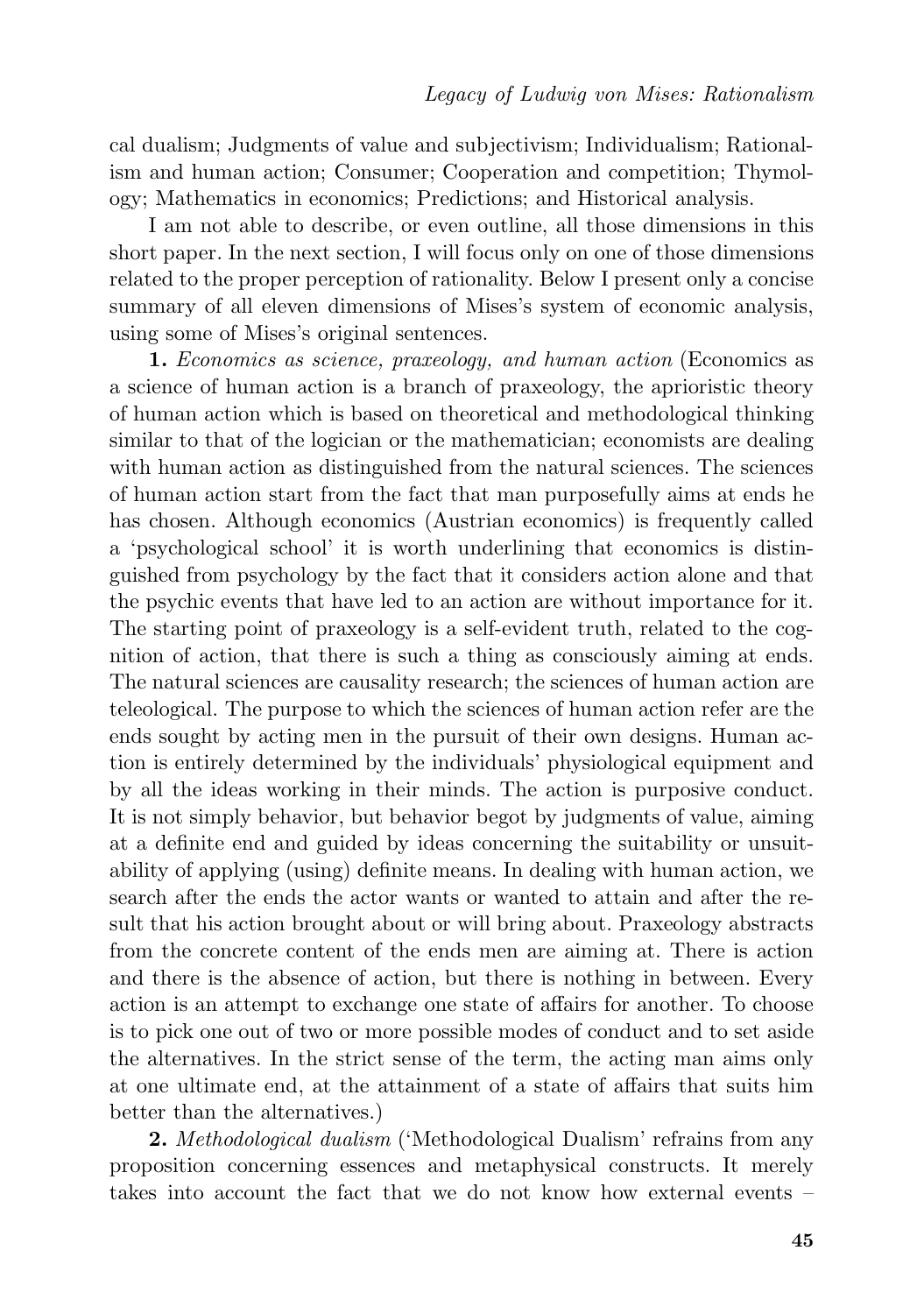cal dualism; Judgments of value and subjectivism; Individualism; Rationalism and human action; Consumer; Cooperation and competition; Thymology; Mathematics in economics; Predictions; and Historical analysis.

I am not able to describe, or even outline, all those dimensions in this short paper. In the next section, I will focus only on one of those dimensions related to the proper perception of rationality. Below I present only a concise summary of all eleven dimensions of Mises's system of economic analysis, using some of Mises's original sentences.

**1.** *Economics as science, praxeology, and human action* (Economics as a science of human action is a branch of praxeology, the aprioristic theory of human action which is based on theoretical and methodological thinking similar to that of the logician or the mathematician; economists are dealing with human action as distinguished from the natural sciences. The sciences of human action start from the fact that man purposefully aims at ends he has chosen. Although economics (Austrian economics) is frequently called a 'psychological school' it is worth underlining that economics is distinguished from psychology by the fact that it considers action alone and that the psychic events that have led to an action are without importance for it. The starting point of praxeology is a self-evident truth, related to the cognition of action, that there is such a thing as consciously aiming at ends. The natural sciences are causality research; the sciences of human action are teleological. The purpose to which the sciences of human action refer are the ends sought by acting men in the pursuit of their own designs. Human action is entirely determined by the individuals' physiological equipment and by all the ideas working in their minds. The action is purposive conduct. It is not simply behavior, but behavior begot by judgments of value, aiming at a definite end and guided by ideas concerning the suitability or unsuitability of applying (using) definite means. In dealing with human action, we search after the ends the actor wants or wanted to attain and after the result that his action brought about or will bring about. Praxeology abstracts from the concrete content of the ends men are aiming at. There is action and there is the absence of action, but there is nothing in between. Every action is an attempt to exchange one state of affairs for another. To choose is to pick one out of two or more possible modes of conduct and to set aside the alternatives. In the strict sense of the term, the acting man aims only at one ultimate end, at the attainment of a state of affairs that suits him better than the alternatives.)

**2.** *Methodological dualism* ('Methodological Dualism' refrains from any proposition concerning essences and metaphysical constructs. It merely takes into account the fact that we do not know how external events –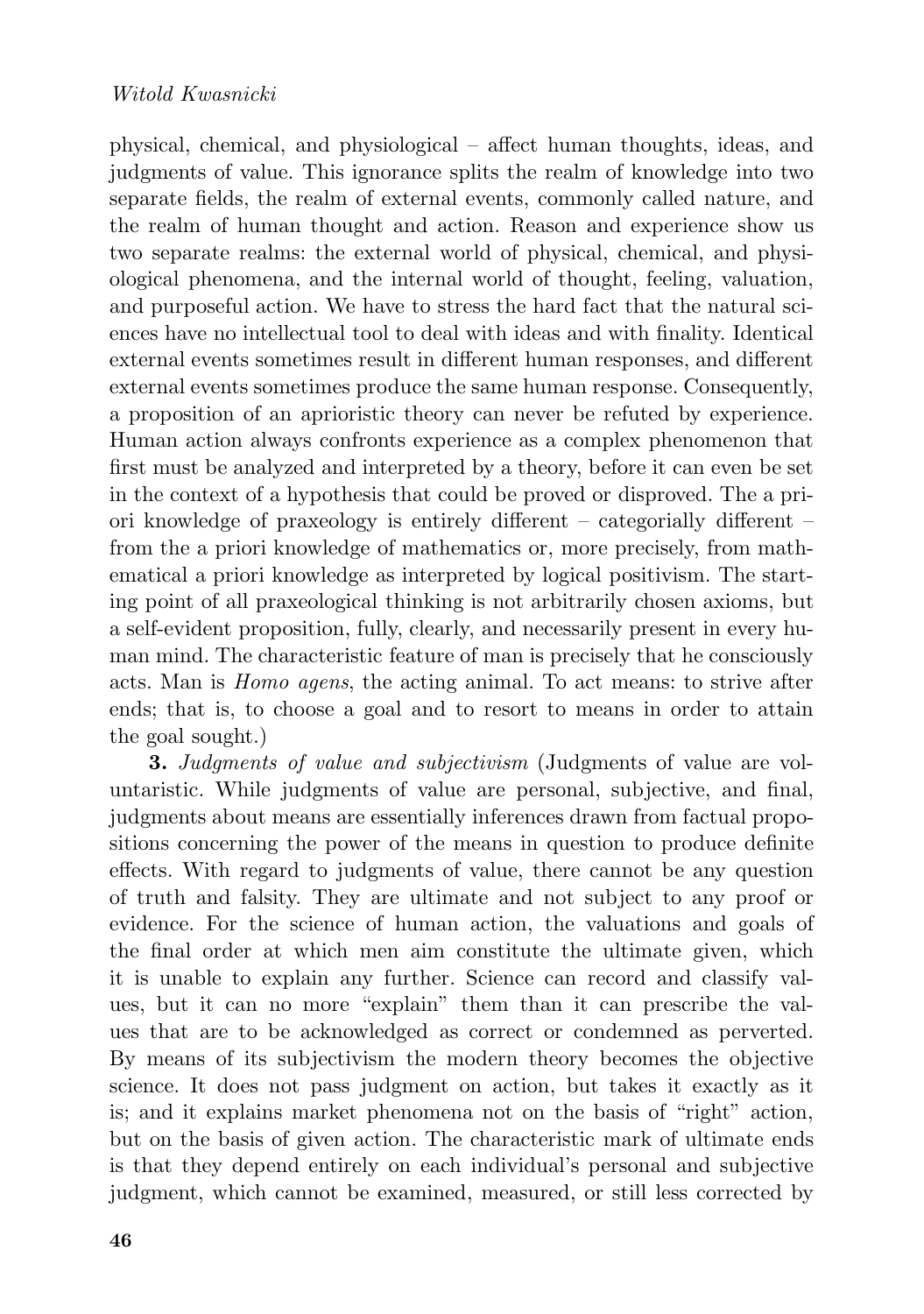physical, chemical, and physiological – affect human thoughts, ideas, and judgments of value. This ignorance splits the realm of knowledge into two separate fields, the realm of external events, commonly called nature, and the realm of human thought and action. Reason and experience show us two separate realms: the external world of physical, chemical, and physiological phenomena, and the internal world of thought, feeling, valuation, and purposeful action. We have to stress the hard fact that the natural sciences have no intellectual tool to deal with ideas and with finality. Identical external events sometimes result in different human responses, and different external events sometimes produce the same human response. Consequently, a proposition of an aprioristic theory can never be refuted by experience. Human action always confronts experience as a complex phenomenon that first must be analyzed and interpreted by a theory, before it can even be set in the context of a hypothesis that could be proved or disproved. The a priori knowledge of praxeology is entirely different – categorially different – from the a priori knowledge of mathematics or, more precisely, from mathematical a priori knowledge as interpreted by logical positivism. The starting point of all praxeological thinking is not arbitrarily chosen axioms, but a self-evident proposition, fully, clearly, and necessarily present in every human mind. The characteristic feature of man is precisely that he consciously acts. Man is *Homo agens*, the acting animal. To act means: to strive after ends; that is, to choose a goal and to resort to means in order to attain the goal sought.)

**3.** *Judgments of value and subjectivism* (Judgments of value are voluntaristic. While judgments of value are personal, subjective, and final, judgments about means are essentially inferences drawn from factual propositions concerning the power of the means in question to produce definite effects. With regard to judgments of value, there cannot be any question of truth and falsity. They are ultimate and not subject to any proof or evidence. For the science of human action, the valuations and goals of the final order at which men aim constitute the ultimate given, which it is unable to explain any further. Science can record and classify values, but it can no more "explain" them than it can prescribe the values that are to be acknowledged as correct or condemned as perverted. By means of its subjectivism the modern theory becomes the objective science. It does not pass judgment on action, but takes it exactly as it is; and it explains market phenomena not on the basis of "right" action, but on the basis of given action. The characteristic mark of ultimate ends is that they depend entirely on each individual's personal and subjective judgment, which cannot be examined, measured, or still less corrected by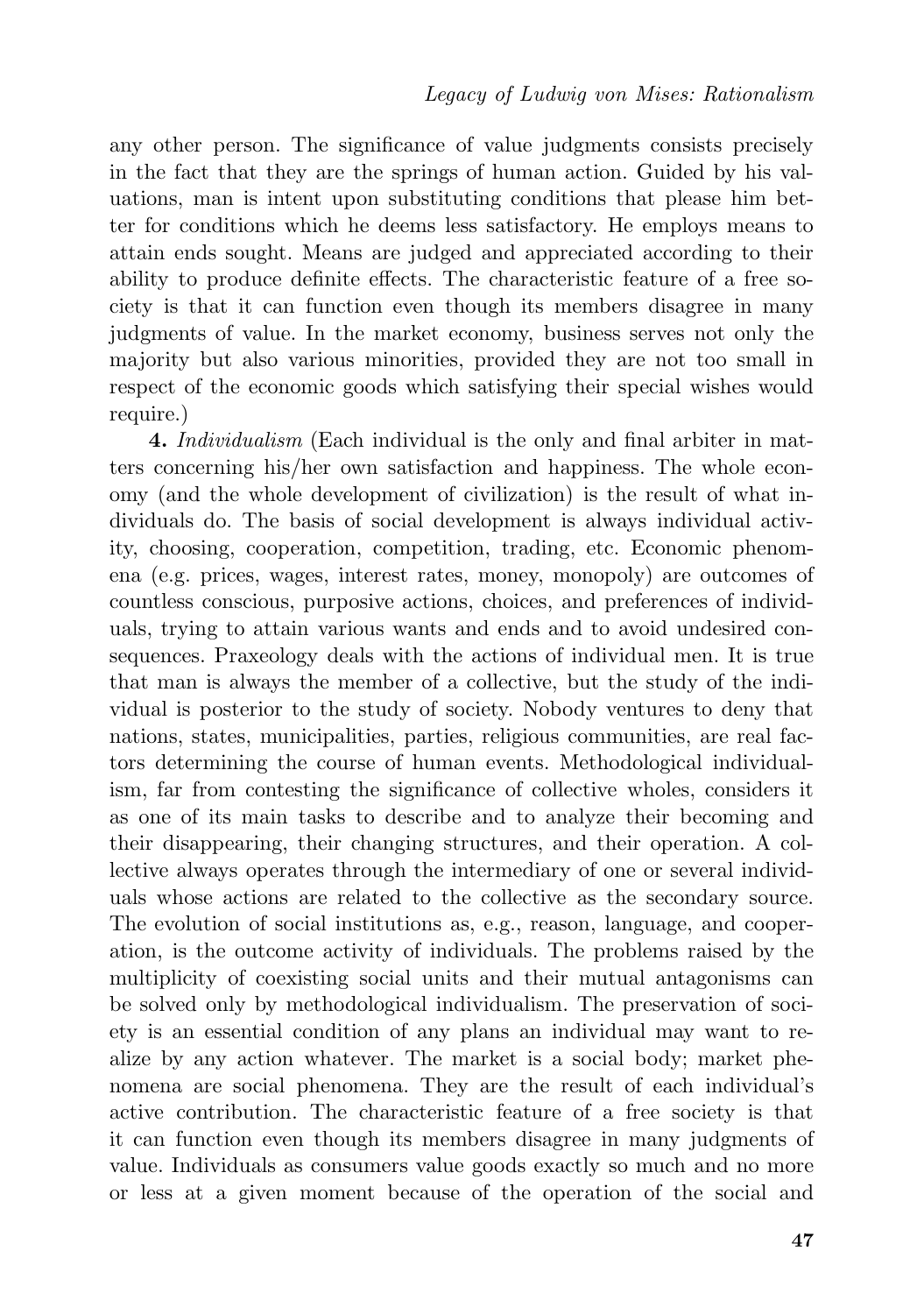any other person. The significance of value judgments consists precisely in the fact that they are the springs of human action. Guided by his valuations, man is intent upon substituting conditions that please him better for conditions which he deems less satisfactory. He employs means to attain ends sought. Means are judged and appreciated according to their ability to produce definite effects. The characteristic feature of a free society is that it can function even though its members disagree in many judgments of value. In the market economy, business serves not only the majority but also various minorities, provided they are not too small in respect of the economic goods which satisfying their special wishes would require.)

**4.** *Individualism* (Each individual is the only and final arbiter in matters concerning his/her own satisfaction and happiness. The whole economy (and the whole development of civilization) is the result of what individuals do. The basis of social development is always individual activity, choosing, cooperation, competition, trading, etc. Economic phenomena (e.g. prices, wages, interest rates, money, monopoly) are outcomes of countless conscious, purposive actions, choices, and preferences of individuals, trying to attain various wants and ends and to avoid undesired consequences. Praxeology deals with the actions of individual men. It is true that man is always the member of a collective, but the study of the individual is posterior to the study of society. Nobody ventures to deny that nations, states, municipalities, parties, religious communities, are real factors determining the course of human events. Methodological individualism, far from contesting the significance of collective wholes, considers it as one of its main tasks to describe and to analyze their becoming and their disappearing, their changing structures, and their operation. A collective always operates through the intermediary of one or several individuals whose actions are related to the collective as the secondary source. The evolution of social institutions as, e.g., reason, language, and cooperation, is the outcome activity of individuals. The problems raised by the multiplicity of coexisting social units and their mutual antagonisms can be solved only by methodological individualism. The preservation of society is an essential condition of any plans an individual may want to realize by any action whatever. The market is a social body; market phenomena are social phenomena. They are the result of each individual's active contribution. The characteristic feature of a free society is that it can function even though its members disagree in many judgments of value. Individuals as consumers value goods exactly so much and no more or less at a given moment because of the operation of the social and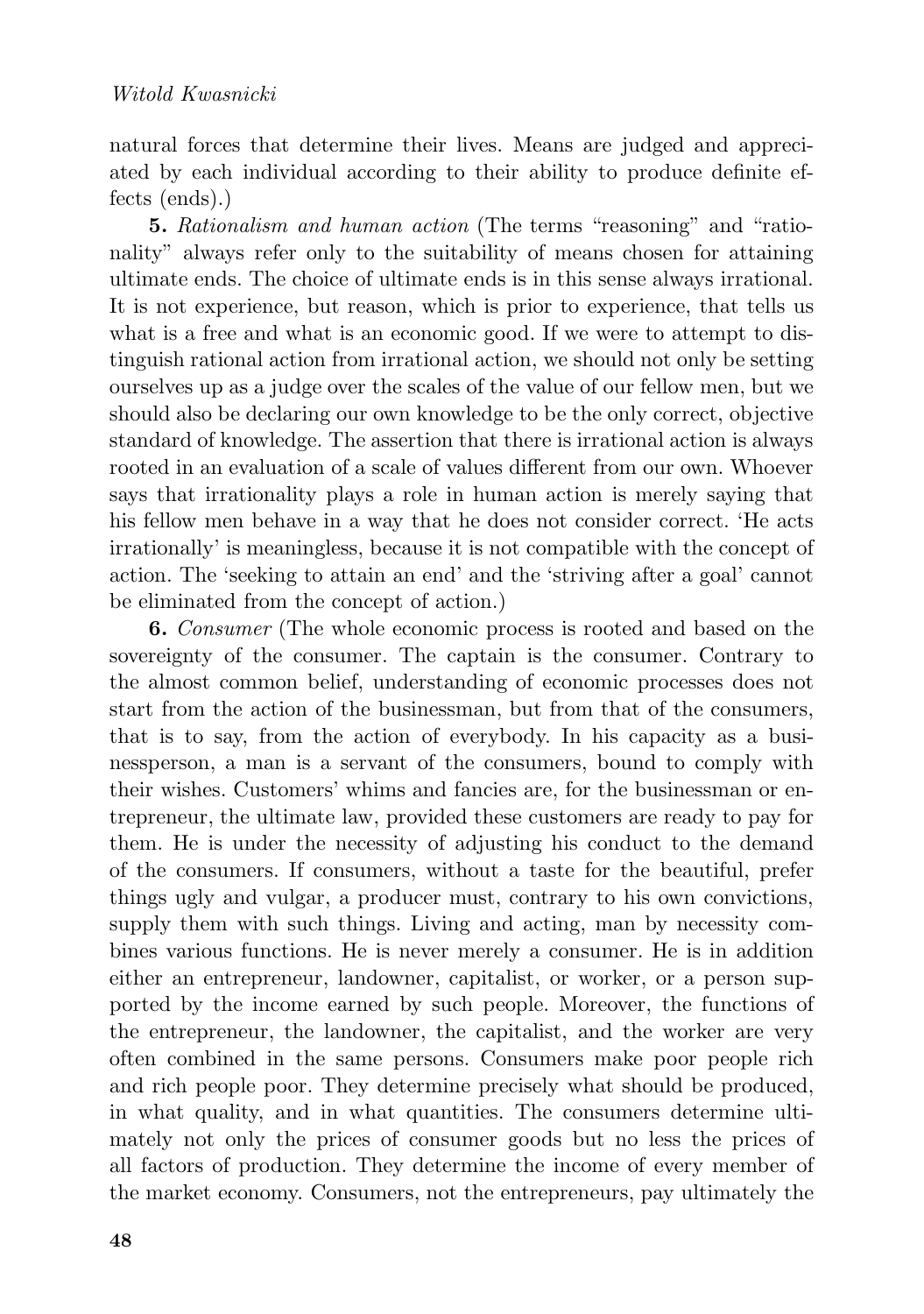natural forces that determine their lives. Means are judged and appreciated by each individual according to their ability to produce definite effects (ends).)

**5.** *Rationalism and human action* (The terms "reasoning" and "rationality" always refer only to the suitability of means chosen for attaining ultimate ends. The choice of ultimate ends is in this sense always irrational. It is not experience, but reason, which is prior to experience, that tells us what is a free and what is an economic good. If we were to attempt to distinguish rational action from irrational action, we should not only be setting ourselves up as a judge over the scales of the value of our fellow men, but we should also be declaring our own knowledge to be the only correct, objective standard of knowledge. The assertion that there is irrational action is always rooted in an evaluation of a scale of values different from our own. Whoever says that irrationality plays a role in human action is merely saying that his fellow men behave in a way that he does not consider correct. 'He acts irrationally' is meaningless, because it is not compatible with the concept of action. The 'seeking to attain an end' and the 'striving after a goal' cannot be eliminated from the concept of action.)

**6.** *Consumer* (The whole economic process is rooted and based on the sovereignty of the consumer. The captain is the consumer. Contrary to the almost common belief, understanding of economic processes does not start from the action of the businessman, but from that of the consumers, that is to say, from the action of everybody. In his capacity as a businessperson, a man is a servant of the consumers, bound to comply with their wishes. Customers' whims and fancies are, for the businessman or entrepreneur, the ultimate law, provided these customers are ready to pay for them. He is under the necessity of adjusting his conduct to the demand of the consumers. If consumers, without a taste for the beautiful, prefer things ugly and vulgar, a producer must, contrary to his own convictions, supply them with such things. Living and acting, man by necessity combines various functions. He is never merely a consumer. He is in addition either an entrepreneur, landowner, capitalist, or worker, or a person supported by the income earned by such people. Moreover, the functions of the entrepreneur, the landowner, the capitalist, and the worker are very often combined in the same persons. Consumers make poor people rich and rich people poor. They determine precisely what should be produced, in what quality, and in what quantities. The consumers determine ultimately not only the prices of consumer goods but no less the prices of all factors of production. They determine the income of every member of the market economy. Consumers, not the entrepreneurs, pay ultimately the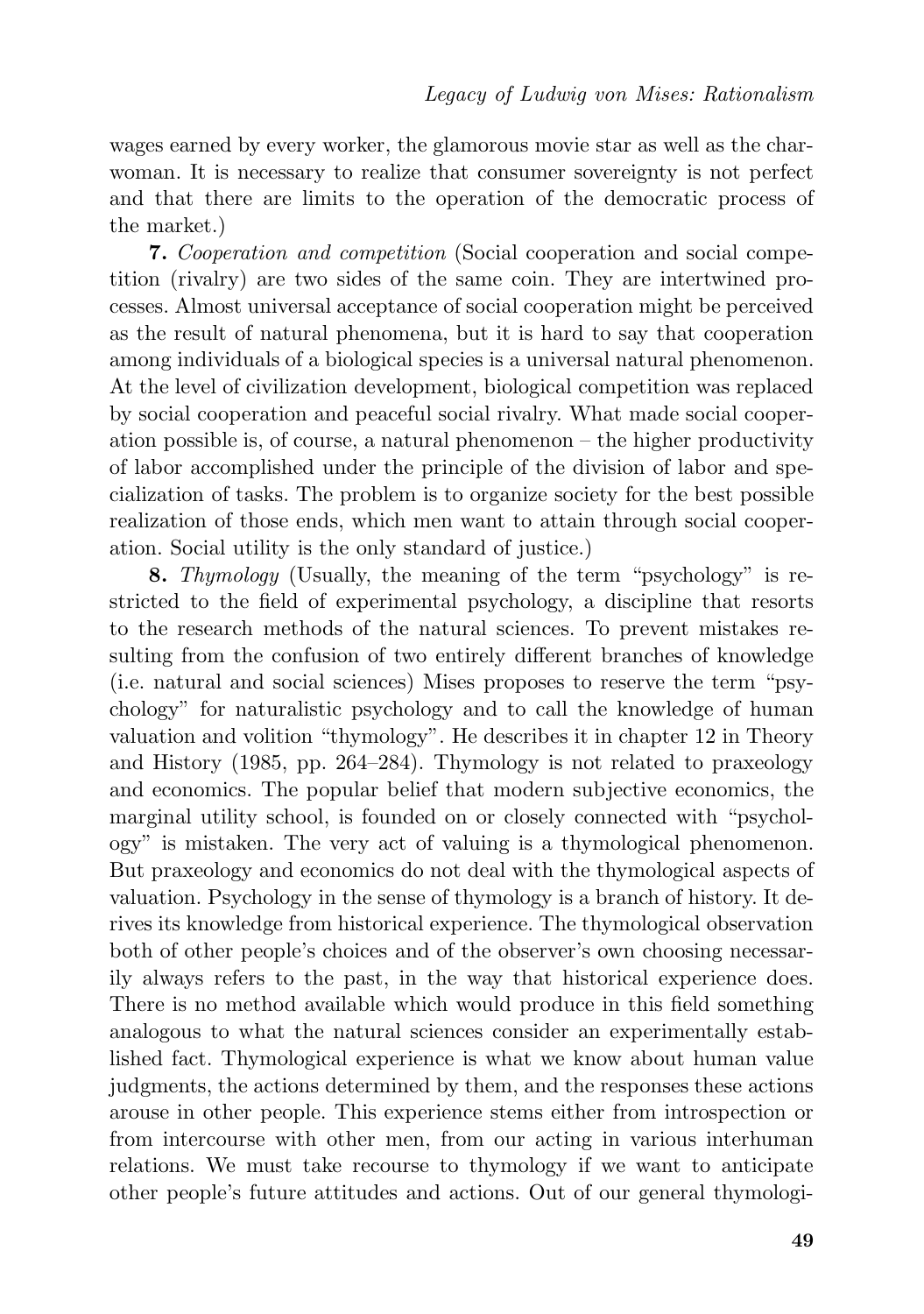wages earned by every worker, the glamorous movie star as well as the charwoman. It is necessary to realize that consumer sovereignty is not perfect and that there are limits to the operation of the democratic process of the market.)

**7.** *Cooperation and competition* (Social cooperation and social competition (rivalry) are two sides of the same coin. They are intertwined processes. Almost universal acceptance of social cooperation might be perceived as the result of natural phenomena, but it is hard to say that cooperation among individuals of a biological species is a universal natural phenomenon. At the level of civilization development, biological competition was replaced by social cooperation and peaceful social rivalry. What made social cooperation possible is, of course, a natural phenomenon – the higher productivity of labor accomplished under the principle of the division of labor and specialization of tasks. The problem is to organize society for the best possible realization of those ends, which men want to attain through social cooperation. Social utility is the only standard of justice.)

**8.** *Thymology* (Usually, the meaning of the term "psychology" is restricted to the field of experimental psychology, a discipline that resorts to the research methods of the natural sciences. To prevent mistakes resulting from the confusion of two entirely different branches of knowledge (i.e. natural and social sciences) Mises proposes to reserve the term "psychology" for naturalistic psychology and to call the knowledge of human valuation and volition "thymology". He describes it in chapter 12 in Theory and History (1985, pp. 264–284). Thymology is not related to praxeology and economics. The popular belief that modern subjective economics, the marginal utility school, is founded on or closely connected with "psychology" is mistaken. The very act of valuing is a thymological phenomenon. But praxeology and economics do not deal with the thymological aspects of valuation. Psychology in the sense of thymology is a branch of history. It derives its knowledge from historical experience. The thymological observation both of other people's choices and of the observer's own choosing necessarily always refers to the past, in the way that historical experience does. There is no method available which would produce in this field something analogous to what the natural sciences consider an experimentally established fact. Thymological experience is what we know about human value judgments, the actions determined by them, and the responses these actions arouse in other people. This experience stems either from introspection or from intercourse with other men, from our acting in various interhuman relations. We must take recourse to thymology if we want to anticipate other people's future attitudes and actions. Out of our general thymologi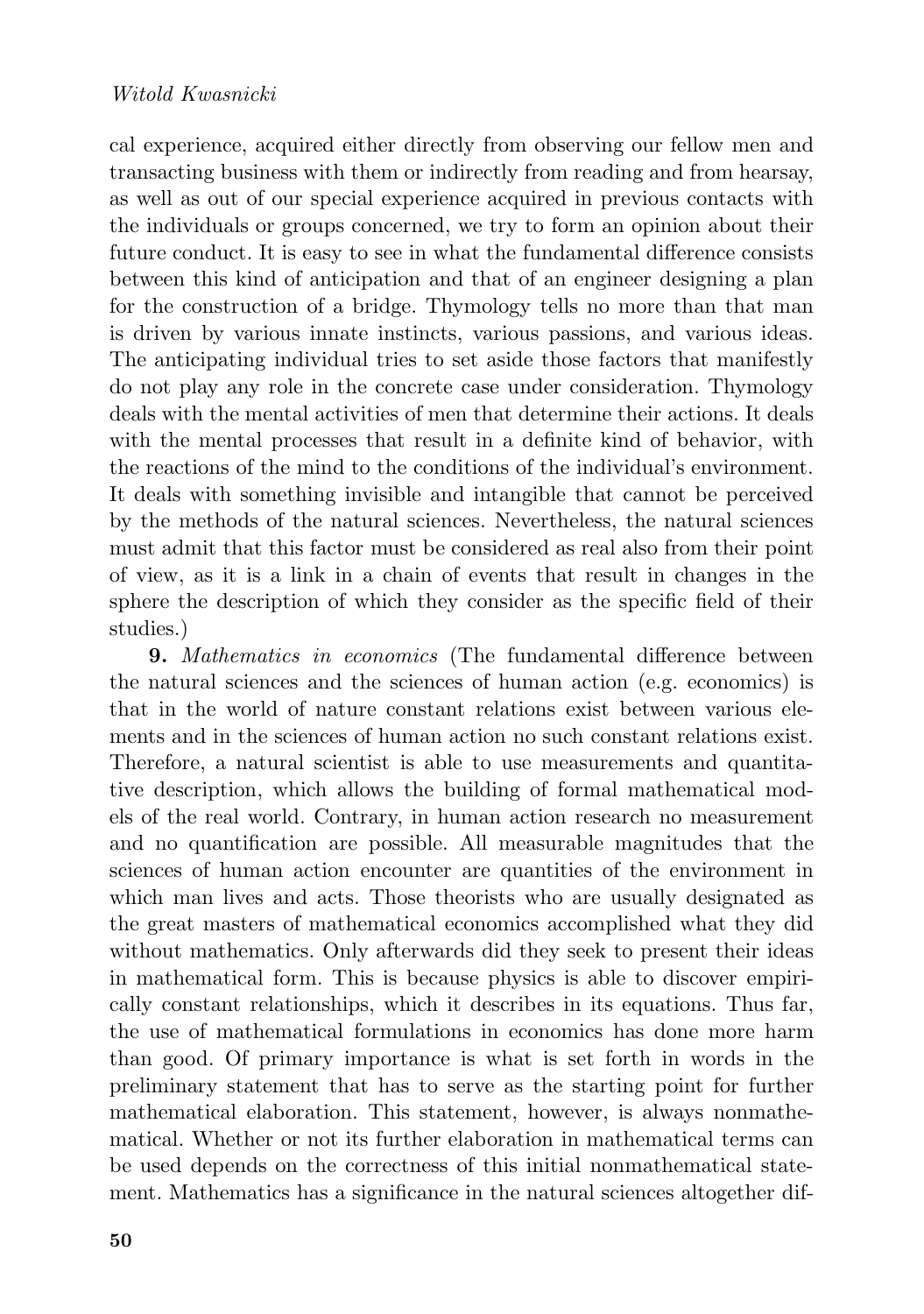cal experience, acquired either directly from observing our fellow men and transacting business with them or indirectly from reading and from hearsay, as well as out of our special experience acquired in previous contacts with the individuals or groups concerned, we try to form an opinion about their future conduct. It is easy to see in what the fundamental difference consists between this kind of anticipation and that of an engineer designing a plan for the construction of a bridge. Thymology tells no more than that man is driven by various innate instincts, various passions, and various ideas. The anticipating individual tries to set aside those factors that manifestly do not play any role in the concrete case under consideration. Thymology deals with the mental activities of men that determine their actions. It deals with the mental processes that result in a definite kind of behavior, with the reactions of the mind to the conditions of the individual's environment. It deals with something invisible and intangible that cannot be perceived by the methods of the natural sciences. Nevertheless, the natural sciences must admit that this factor must be considered as real also from their point of view, as it is a link in a chain of events that result in changes in the sphere the description of which they consider as the specific field of their studies.)

**9.** *Mathematics in economics* (The fundamental difference between the natural sciences and the sciences of human action (e.g. economics) is that in the world of nature constant relations exist between various elements and in the sciences of human action no such constant relations exist. Therefore, a natural scientist is able to use measurements and quantitative description, which allows the building of formal mathematical models of the real world. Contrary, in human action research no measurement and no quantification are possible. All measurable magnitudes that the sciences of human action encounter are quantities of the environment in which man lives and acts. Those theorists who are usually designated as the great masters of mathematical economics accomplished what they did without mathematics. Only afterwards did they seek to present their ideas in mathematical form. This is because physics is able to discover empirically constant relationships, which it describes in its equations. Thus far, the use of mathematical formulations in economics has done more harm than good. Of primary importance is what is set forth in words in the preliminary statement that has to serve as the starting point for further mathematical elaboration. This statement, however, is always nonmathematical. Whether or not its further elaboration in mathematical terms can be used depends on the correctness of this initial nonmathematical statement. Mathematics has a significance in the natural sciences altogether dif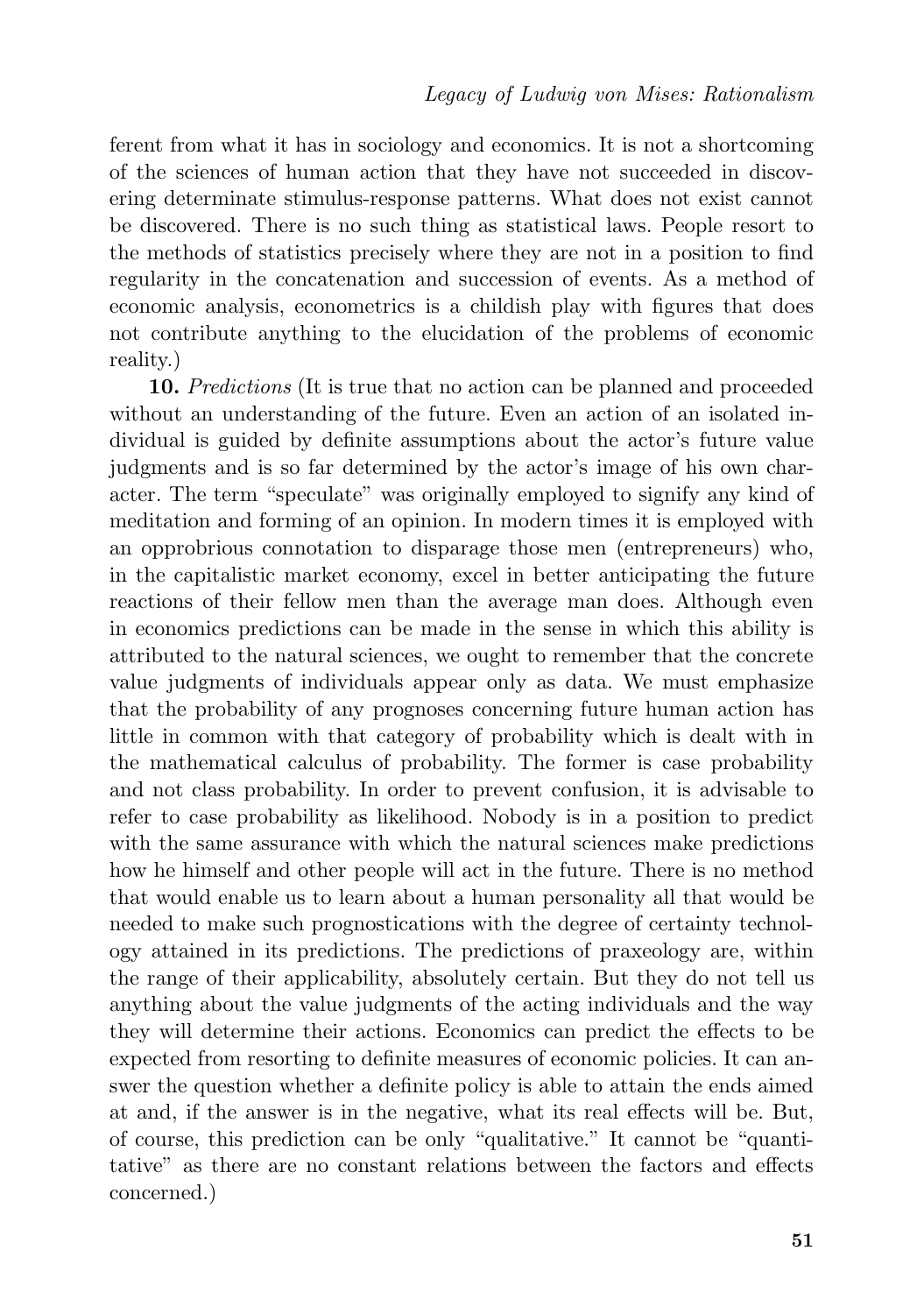ferent from what it has in sociology and economics. It is not a shortcoming of the sciences of human action that they have not succeeded in discovering determinate stimulus-response patterns. What does not exist cannot be discovered. There is no such thing as statistical laws. People resort to the methods of statistics precisely where they are not in a position to find regularity in the concatenation and succession of events. As a method of economic analysis, econometrics is a childish play with figures that does not contribute anything to the elucidation of the problems of economic reality.)

**10.** *Predictions* (It is true that no action can be planned and proceeded without an understanding of the future. Even an action of an isolated individual is guided by definite assumptions about the actor's future value judgments and is so far determined by the actor's image of his own character. The term "speculate" was originally employed to signify any kind of meditation and forming of an opinion. In modern times it is employed with an opprobrious connotation to disparage those men (entrepreneurs) who, in the capitalistic market economy, excel in better anticipating the future reactions of their fellow men than the average man does. Although even in economics predictions can be made in the sense in which this ability is attributed to the natural sciences, we ought to remember that the concrete value judgments of individuals appear only as data. We must emphasize that the probability of any prognoses concerning future human action has little in common with that category of probability which is dealt with in the mathematical calculus of probability. The former is case probability and not class probability. In order to prevent confusion, it is advisable to refer to case probability as likelihood. Nobody is in a position to predict with the same assurance with which the natural sciences make predictions how he himself and other people will act in the future. There is no method that would enable us to learn about a human personality all that would be needed to make such prognostications with the degree of certainty technology attained in its predictions. The predictions of praxeology are, within the range of their applicability, absolutely certain. But they do not tell us anything about the value judgments of the acting individuals and the way they will determine their actions. Economics can predict the effects to be expected from resorting to definite measures of economic policies. It can answer the question whether a definite policy is able to attain the ends aimed at and, if the answer is in the negative, what its real effects will be. But, of course, this prediction can be only "qualitative." It cannot be "quantitative" as there are no constant relations between the factors and effects concerned.)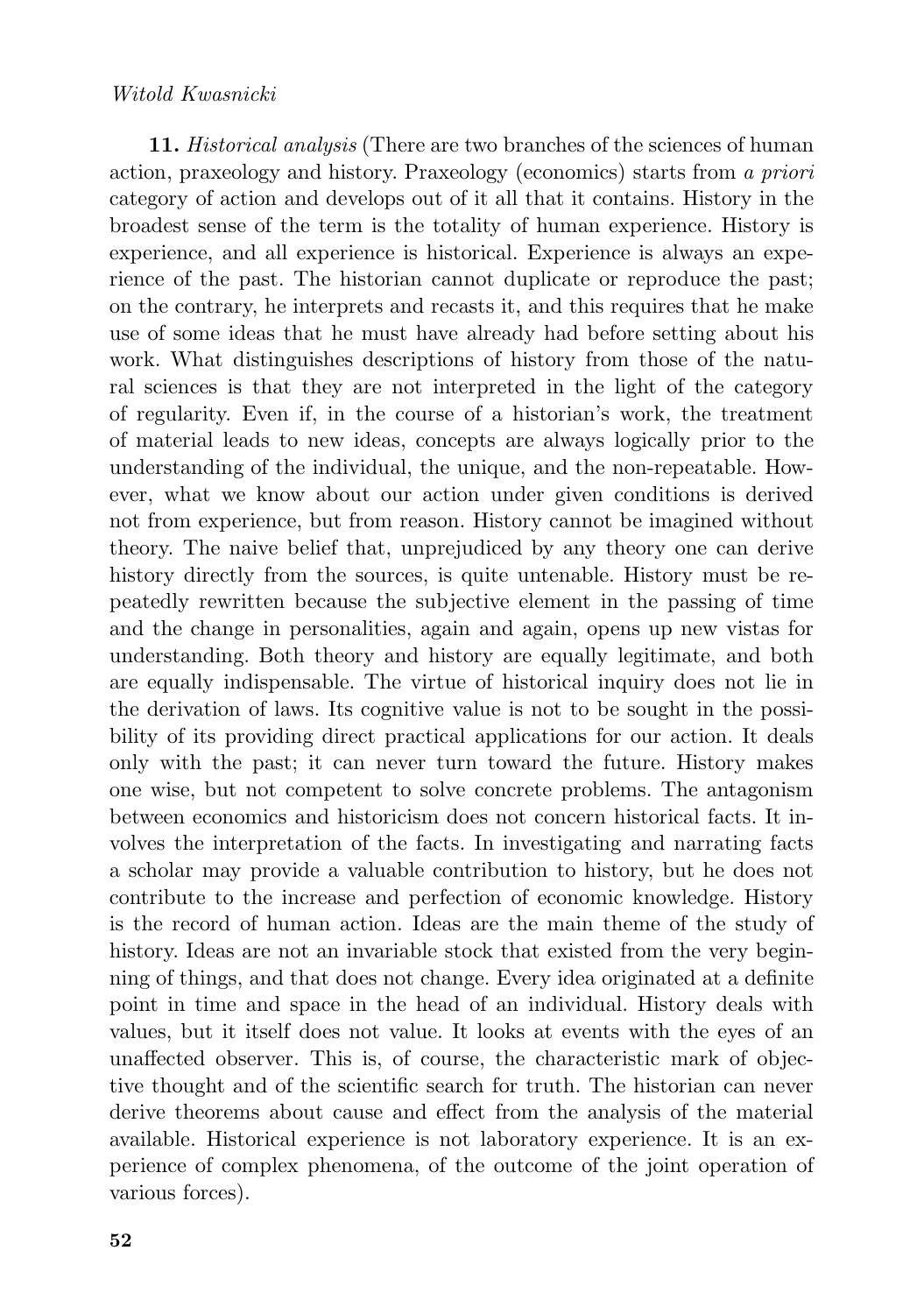## *Witold Kwasnicki*

**11.** *Historical analysis* (There are two branches of the sciences of human action, praxeology and history. Praxeology (economics) starts from *a priori* category of action and develops out of it all that it contains. History in the broadest sense of the term is the totality of human experience. History is experience, and all experience is historical. Experience is always an experience of the past. The historian cannot duplicate or reproduce the past; on the contrary, he interprets and recasts it, and this requires that he make use of some ideas that he must have already had before setting about his work. What distinguishes descriptions of history from those of the natural sciences is that they are not interpreted in the light of the category of regularity. Even if, in the course of a historian's work, the treatment of material leads to new ideas, concepts are always logically prior to the understanding of the individual, the unique, and the non-repeatable. However, what we know about our action under given conditions is derived not from experience, but from reason. History cannot be imagined without theory. The naive belief that, unprejudiced by any theory one can derive history directly from the sources, is quite untenable. History must be repeatedly rewritten because the subjective element in the passing of time and the change in personalities, again and again, opens up new vistas for understanding. Both theory and history are equally legitimate, and both are equally indispensable. The virtue of historical inquiry does not lie in the derivation of laws. Its cognitive value is not to be sought in the possibility of its providing direct practical applications for our action. It deals only with the past; it can never turn toward the future. History makes one wise, but not competent to solve concrete problems. The antagonism between economics and historicism does not concern historical facts. It involves the interpretation of the facts. In investigating and narrating facts a scholar may provide a valuable contribution to history, but he does not contribute to the increase and perfection of economic knowledge. History is the record of human action. Ideas are the main theme of the study of history. Ideas are not an invariable stock that existed from the very beginning of things, and that does not change. Every idea originated at a definite point in time and space in the head of an individual. History deals with values, but it itself does not value. It looks at events with the eyes of an unaffected observer. This is, of course, the characteristic mark of objective thought and of the scientific search for truth. The historian can never derive theorems about cause and effect from the analysis of the material available. Historical experience is not laboratory experience. It is an experience of complex phenomena, of the outcome of the joint operation of various forces).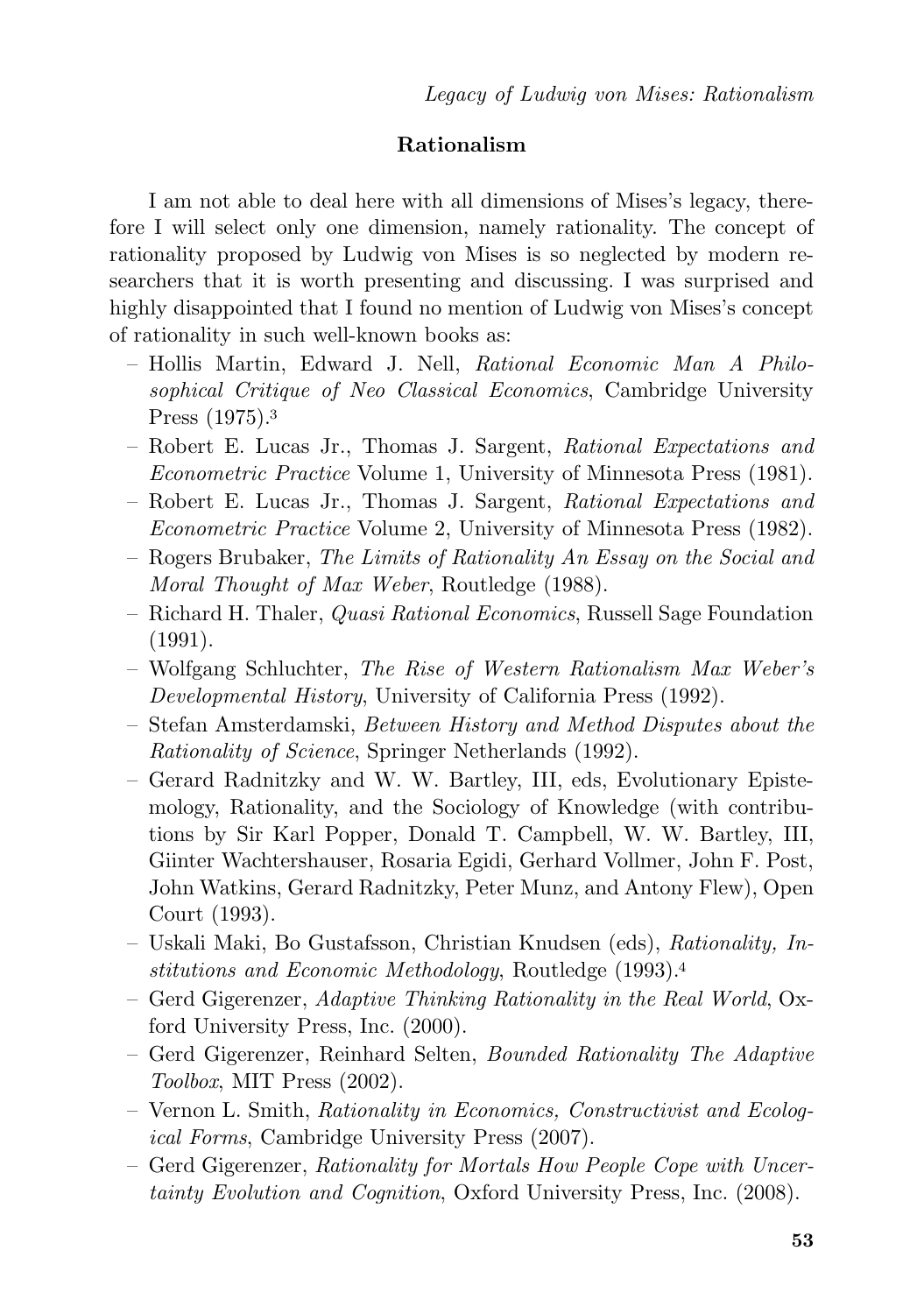## **Rationalism**

I am not able to deal here with all dimensions of Mises's legacy, therefore I will select only one dimension, namely rationality. The concept of rationality proposed by Ludwig von Mises is so neglected by modern researchers that it is worth presenting and discussing. I was surprised and highly disappointed that I found no mention of Ludwig von Mises's concept of rationality in such well-known books as:

- Hollis Martin, Edward J. Nell, *Rational Economic Man A Philosophical Critique of Neo Classical Economics*, Cambridge University Press (1975).<sup>3</sup>
- Robert E. Lucas Jr., Thomas J. Sargent, *Rational Expectations and Econometric Practice* Volume 1, University of Minnesota Press (1981).
- Robert E. Lucas Jr., Thomas J. Sargent, *Rational Expectations and Econometric Practice* Volume 2, University of Minnesota Press (1982).
- Rogers Brubaker, *The Limits of Rationality An Essay on the Social and Moral Thought of Max Weber*, Routledge (1988).
- Richard H. Thaler, *Quasi Rational Economics*, Russell Sage Foundation (1991).
- Wolfgang Schluchter, *The Rise of Western Rationalism Max Weber's Developmental History*, University of California Press (1992).
- Stefan Amsterdamski, *Between History and Method Disputes about the Rationality of Science*, Springer Netherlands (1992).
- Gerard Radnitzky and W. W. Bartley, III, eds, Evolutionary Epistemology, Rationality, and the Sociology of Knowledge (with contributions by Sir Karl Popper, Donald T. Campbell, W. W. Bartley, III, Giinter Wachtershauser, Rosaria Egidi, Gerhard Vollmer, John F. Post, John Watkins, Gerard Radnitzky, Peter Munz, and Antony Flew), Open Court (1993).
- Uskali Maki, Bo Gustafsson, Christian Knudsen (eds), *Rationality, Institutions and Economic Methodology*, Routledge (1993).<sup>4</sup>
- Gerd Gigerenzer, *Adaptive Thinking Rationality in the Real World*, Oxford University Press, Inc. (2000).
- Gerd Gigerenzer, Reinhard Selten, *Bounded Rationality The Adaptive Toolbox*, MIT Press (2002).
- Vernon L. Smith, *Rationality in Economics, Constructivist and Ecological Forms*, Cambridge University Press (2007).
- Gerd Gigerenzer, *Rationality for Mortals How People Cope with Uncertainty Evolution and Cognition*, Oxford University Press, Inc. (2008).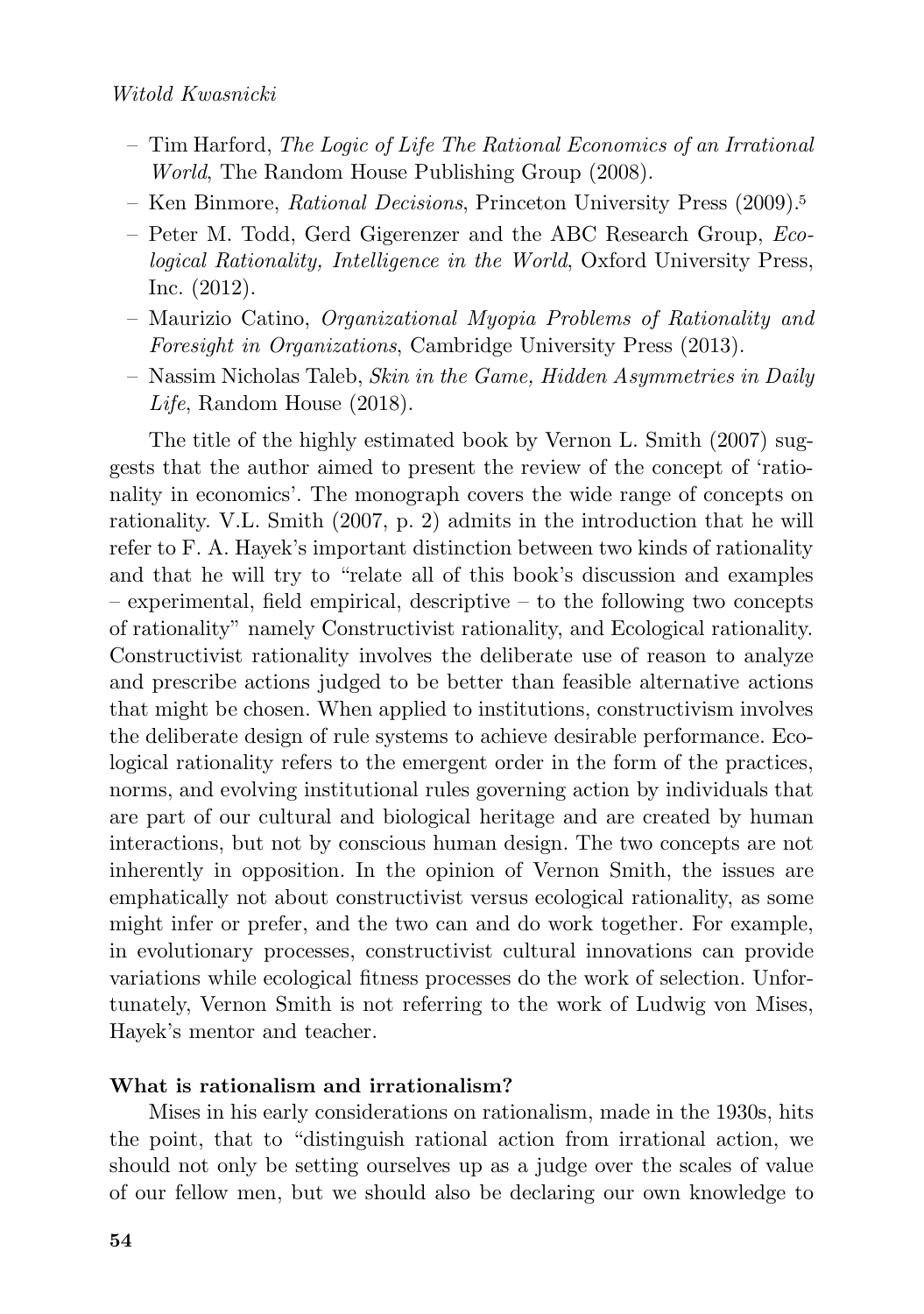- Tim Harford, *The Logic of Life The Rational Economics of an Irrational World*, The Random House Publishing Group (2008).
- Ken Binmore, *Rational Decisions*, Princeton University Press (2009).<sup>5</sup>
- Peter M. Todd, Gerd Gigerenzer and the ABC Research Group, *Ecological Rationality, Intelligence in the World*, Oxford University Press, Inc. (2012).
- Maurizio Catino, *Organizational Myopia Problems of Rationality and Foresight in Organizations*, Cambridge University Press (2013).
- Nassim Nicholas Taleb, *Skin in the Game, Hidden Asymmetries in Daily Life*, Random House (2018).

The title of the highly estimated book by Vernon L. Smith (2007) suggests that the author aimed to present the review of the concept of 'rationality in economics'. The monograph covers the wide range of concepts on rationality. V.L. Smith (2007, p. 2) admits in the introduction that he will refer to F. A. Hayek's important distinction between two kinds of rationality and that he will try to "relate all of this book's discussion and examples – experimental, field empirical, descriptive – to the following two concepts of rationality" namely Constructivist rationality, and Ecological rationality. Constructivist rationality involves the deliberate use of reason to analyze and prescribe actions judged to be better than feasible alternative actions that might be chosen. When applied to institutions, constructivism involves the deliberate design of rule systems to achieve desirable performance. Ecological rationality refers to the emergent order in the form of the practices, norms, and evolving institutional rules governing action by individuals that are part of our cultural and biological heritage and are created by human interactions, but not by conscious human design. The two concepts are not inherently in opposition. In the opinion of Vernon Smith, the issues are emphatically not about constructivist versus ecological rationality, as some might infer or prefer, and the two can and do work together. For example, in evolutionary processes, constructivist cultural innovations can provide variations while ecological fitness processes do the work of selection. Unfortunately, Vernon Smith is not referring to the work of Ludwig von Mises, Hayek's mentor and teacher.

## **What is rationalism and irrationalism?**

Mises in his early considerations on rationalism, made in the 1930s, hits the point, that to "distinguish rational action from irrational action, we should not only be setting ourselves up as a judge over the scales of value of our fellow men, but we should also be declaring our own knowledge to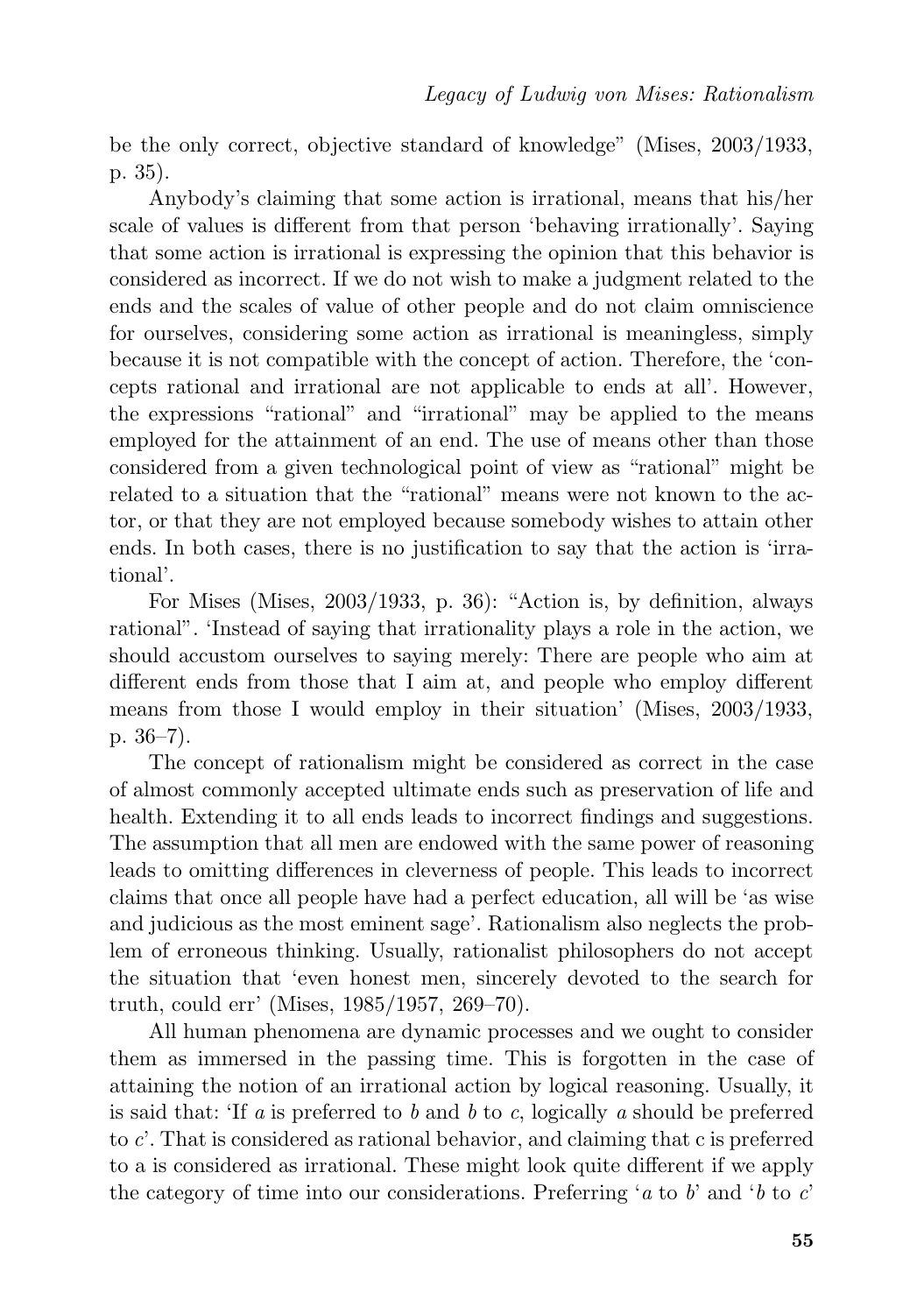be the only correct, objective standard of knowledge" (Mises, 2003/1933, p. 35).

Anybody's claiming that some action is irrational, means that his/her scale of values is different from that person 'behaving irrationally'. Saying that some action is irrational is expressing the opinion that this behavior is considered as incorrect. If we do not wish to make a judgment related to the ends and the scales of value of other people and do not claim omniscience for ourselves, considering some action as irrational is meaningless, simply because it is not compatible with the concept of action. Therefore, the 'concepts rational and irrational are not applicable to ends at all'. However, the expressions "rational" and "irrational" may be applied to the means employed for the attainment of an end. The use of means other than those considered from a given technological point of view as "rational" might be related to a situation that the "rational" means were not known to the actor, or that they are not employed because somebody wishes to attain other ends. In both cases, there is no justification to say that the action is 'irrational'.

For Mises (Mises, 2003/1933, p. 36): "Action is, by definition, always rational". 'Instead of saying that irrationality plays a role in the action, we should accustom ourselves to saying merely: There are people who aim at different ends from those that I aim at, and people who employ different means from those I would employ in their situation' (Mises, 2003/1933, p. 36–7).

The concept of rationalism might be considered as correct in the case of almost commonly accepted ultimate ends such as preservation of life and health. Extending it to all ends leads to incorrect findings and suggestions. The assumption that all men are endowed with the same power of reasoning leads to omitting differences in cleverness of people. This leads to incorrect claims that once all people have had a perfect education, all will be 'as wise and judicious as the most eminent sage'. Rationalism also neglects the problem of erroneous thinking. Usually, rationalist philosophers do not accept the situation that 'even honest men, sincerely devoted to the search for truth, could err' (Mises, 1985/1957, 269–70).

All human phenomena are dynamic processes and we ought to consider them as immersed in the passing time. This is forgotten in the case of attaining the notion of an irrational action by logical reasoning. Usually, it is said that: 'If *a* is preferred to *b* and *b* to *c*, logically *a* should be preferred to *c*'. That is considered as rational behavior, and claiming that c is preferred to a is considered as irrational. These might look quite different if we apply the category of time into our considerations. Preferring '*a* to *b*' and '*b* to *c*'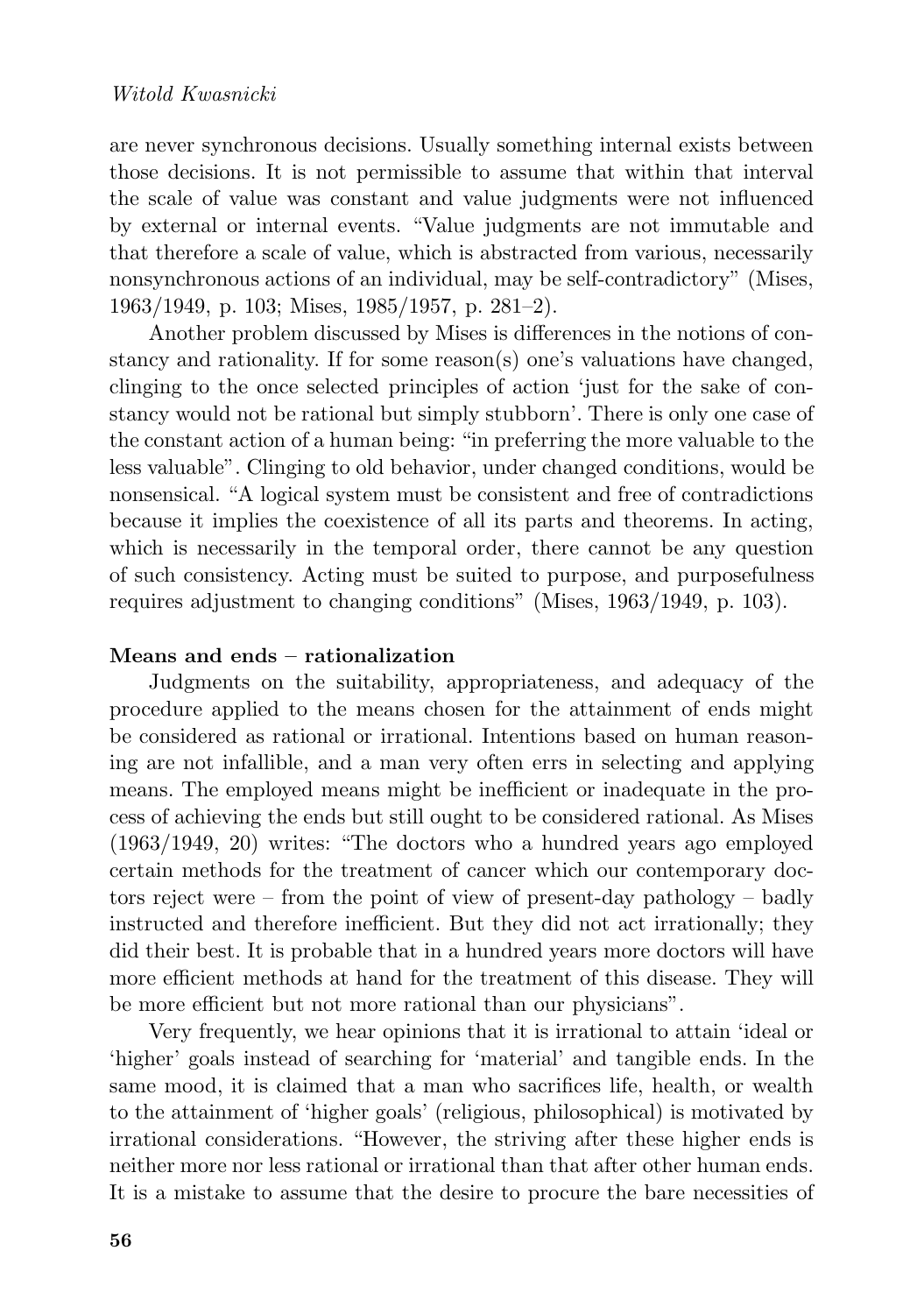are never synchronous decisions. Usually something internal exists between those decisions. It is not permissible to assume that within that interval the scale of value was constant and value judgments were not influenced by external or internal events. "Value judgments are not immutable and that therefore a scale of value, which is abstracted from various, necessarily nonsynchronous actions of an individual, may be self-contradictory" (Mises, 1963/1949, p. 103; Mises, 1985/1957, p. 281–2).

Another problem discussed by Mises is differences in the notions of constancy and rationality. If for some reason(s) one's valuations have changed, clinging to the once selected principles of action 'just for the sake of constancy would not be rational but simply stubborn'. There is only one case of the constant action of a human being: "in preferring the more valuable to the less valuable". Clinging to old behavior, under changed conditions, would be nonsensical. "A logical system must be consistent and free of contradictions because it implies the coexistence of all its parts and theorems. In acting, which is necessarily in the temporal order, there cannot be any question of such consistency. Acting must be suited to purpose, and purposefulness requires adjustment to changing conditions" (Mises, 1963/1949, p. 103).

#### **Means and ends – rationalization**

Judgments on the suitability, appropriateness, and adequacy of the procedure applied to the means chosen for the attainment of ends might be considered as rational or irrational. Intentions based on human reasoning are not infallible, and a man very often errs in selecting and applying means. The employed means might be inefficient or inadequate in the process of achieving the ends but still ought to be considered rational. As Mises (1963/1949, 20) writes: "The doctors who a hundred years ago employed certain methods for the treatment of cancer which our contemporary doctors reject were – from the point of view of present-day pathology – badly instructed and therefore inefficient. But they did not act irrationally; they did their best. It is probable that in a hundred years more doctors will have more efficient methods at hand for the treatment of this disease. They will be more efficient but not more rational than our physicians".

Very frequently, we hear opinions that it is irrational to attain 'ideal or 'higher' goals instead of searching for 'material' and tangible ends. In the same mood, it is claimed that a man who sacrifices life, health, or wealth to the attainment of 'higher goals' (religious, philosophical) is motivated by irrational considerations. "However, the striving after these higher ends is neither more nor less rational or irrational than that after other human ends. It is a mistake to assume that the desire to procure the bare necessities of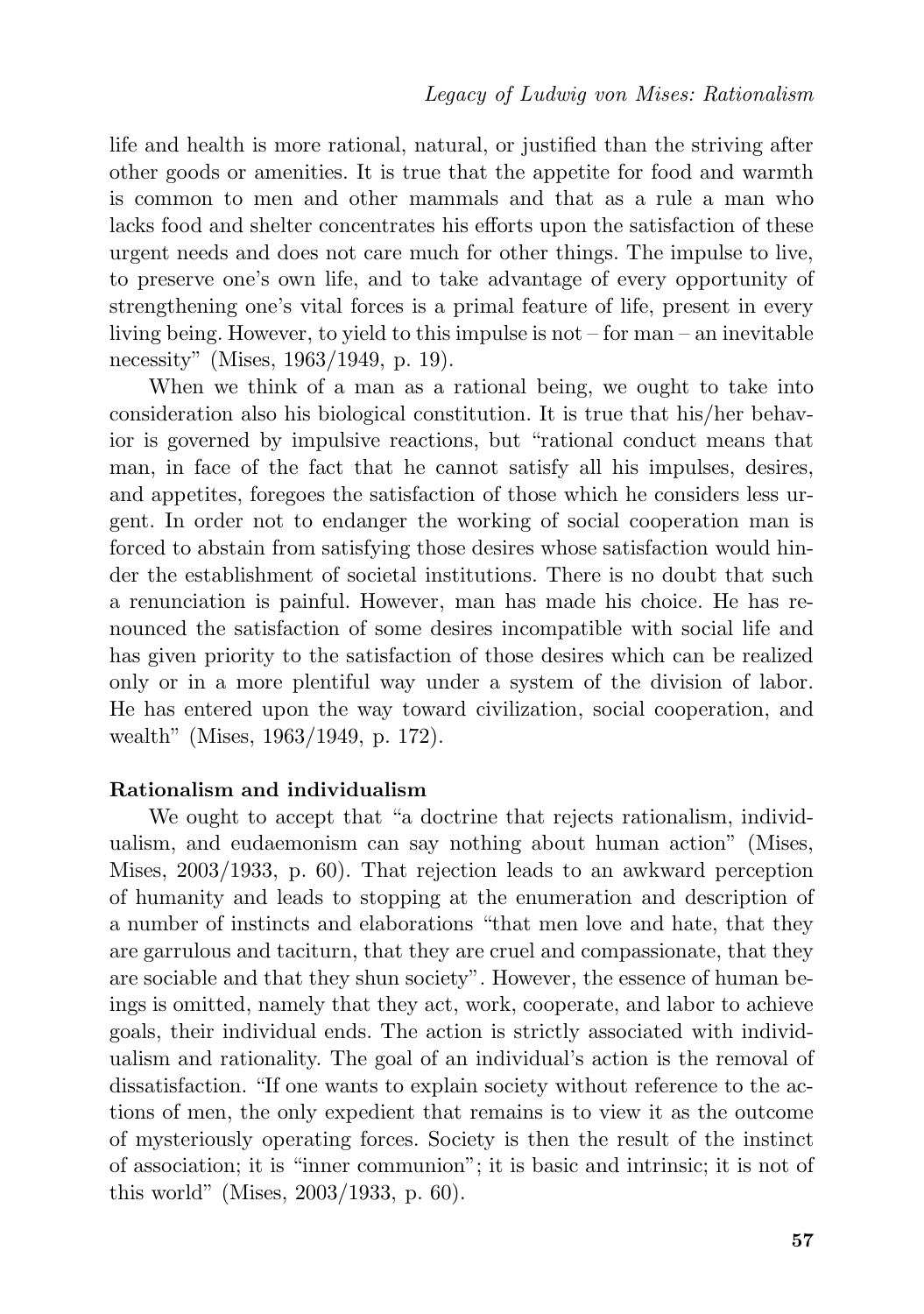life and health is more rational, natural, or justified than the striving after other goods or amenities. It is true that the appetite for food and warmth is common to men and other mammals and that as a rule a man who lacks food and shelter concentrates his efforts upon the satisfaction of these urgent needs and does not care much for other things. The impulse to live, to preserve one's own life, and to take advantage of every opportunity of strengthening one's vital forces is a primal feature of life, present in every living being. However, to yield to this impulse is not – for man – an inevitable necessity" (Mises, 1963/1949, p. 19).

When we think of a man as a rational being, we ought to take into consideration also his biological constitution. It is true that his/her behavior is governed by impulsive reactions, but "rational conduct means that man, in face of the fact that he cannot satisfy all his impulses, desires, and appetites, foregoes the satisfaction of those which he considers less urgent. In order not to endanger the working of social cooperation man is forced to abstain from satisfying those desires whose satisfaction would hinder the establishment of societal institutions. There is no doubt that such a renunciation is painful. However, man has made his choice. He has renounced the satisfaction of some desires incompatible with social life and has given priority to the satisfaction of those desires which can be realized only or in a more plentiful way under a system of the division of labor. He has entered upon the way toward civilization, social cooperation, and wealth" (Mises, 1963/1949, p. 172).

#### **Rationalism and individualism**

We ought to accept that "a doctrine that rejects rationalism, individualism, and eudaemonism can say nothing about human action" (Mises, Mises, 2003/1933, p. 60). That rejection leads to an awkward perception of humanity and leads to stopping at the enumeration and description of a number of instincts and elaborations "that men love and hate, that they are garrulous and taciturn, that they are cruel and compassionate, that they are sociable and that they shun society". However, the essence of human beings is omitted, namely that they act, work, cooperate, and labor to achieve goals, their individual ends. The action is strictly associated with individualism and rationality. The goal of an individual's action is the removal of dissatisfaction. "If one wants to explain society without reference to the actions of men, the only expedient that remains is to view it as the outcome of mysteriously operating forces. Society is then the result of the instinct of association; it is "inner communion"; it is basic and intrinsic; it is not of this world" (Mises, 2003/1933, p. 60).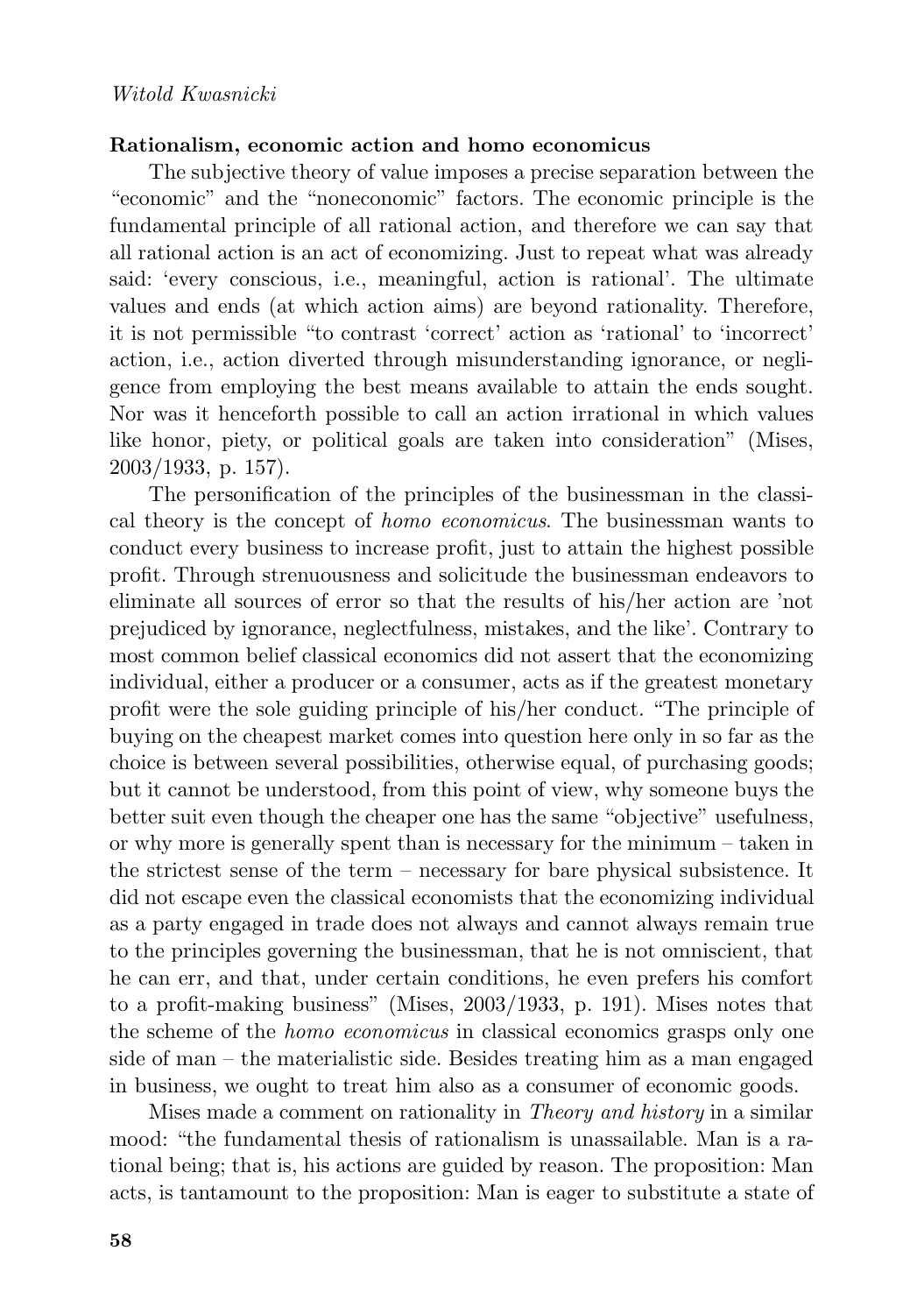## **Rationalism, economic action and homo economicus**

The subjective theory of value imposes a precise separation between the "economic" and the "noneconomic" factors. The economic principle is the fundamental principle of all rational action, and therefore we can say that all rational action is an act of economizing. Just to repeat what was already said: 'every conscious, i.e., meaningful, action is rational'. The ultimate values and ends (at which action aims) are beyond rationality. Therefore, it is not permissible "to contrast 'correct' action as 'rational' to 'incorrect' action, i.e., action diverted through misunderstanding ignorance, or negligence from employing the best means available to attain the ends sought. Nor was it henceforth possible to call an action irrational in which values like honor, piety, or political goals are taken into consideration" (Mises, 2003/1933, p. 157).

The personification of the principles of the businessman in the classical theory is the concept of *homo economicus*. The businessman wants to conduct every business to increase profit, just to attain the highest possible profit. Through strenuousness and solicitude the businessman endeavors to eliminate all sources of error so that the results of his/her action are 'not prejudiced by ignorance, neglectfulness, mistakes, and the like'. Contrary to most common belief classical economics did not assert that the economizing individual, either a producer or a consumer, acts as if the greatest monetary profit were the sole guiding principle of his/her conduct. "The principle of buying on the cheapest market comes into question here only in so far as the choice is between several possibilities, otherwise equal, of purchasing goods; but it cannot be understood, from this point of view, why someone buys the better suit even though the cheaper one has the same "objective" usefulness, or why more is generally spent than is necessary for the minimum – taken in the strictest sense of the term – necessary for bare physical subsistence. It did not escape even the classical economists that the economizing individual as a party engaged in trade does not always and cannot always remain true to the principles governing the businessman, that he is not omniscient, that he can err, and that, under certain conditions, he even prefers his comfort to a profit-making business" (Mises, 2003/1933, p. 191). Mises notes that the scheme of the *homo economicus* in classical economics grasps only one side of man – the materialistic side. Besides treating him as a man engaged in business, we ought to treat him also as a consumer of economic goods.

Mises made a comment on rationality in *Theory and history* in a similar mood: "the fundamental thesis of rationalism is unassailable. Man is a rational being; that is, his actions are guided by reason. The proposition: Man acts, is tantamount to the proposition: Man is eager to substitute a state of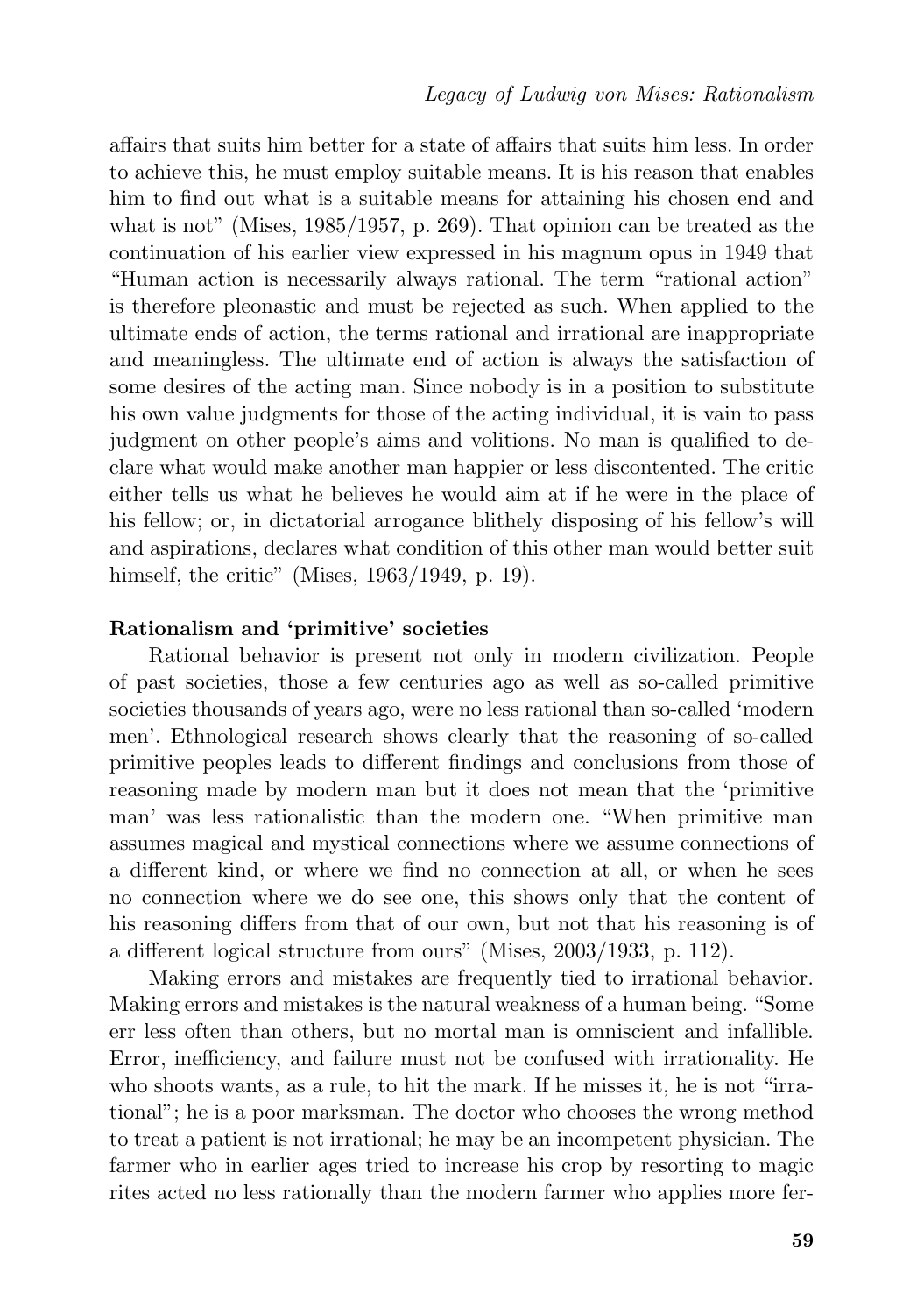affairs that suits him better for a state of affairs that suits him less. In order to achieve this, he must employ suitable means. It is his reason that enables him to find out what is a suitable means for attaining his chosen end and what is not" (Mises, 1985/1957, p. 269). That opinion can be treated as the continuation of his earlier view expressed in his magnum opus in 1949 that "Human action is necessarily always rational. The term "rational action" is therefore pleonastic and must be rejected as such. When applied to the ultimate ends of action, the terms rational and irrational are inappropriate and meaningless. The ultimate end of action is always the satisfaction of some desires of the acting man. Since nobody is in a position to substitute his own value judgments for those of the acting individual, it is vain to pass judgment on other people's aims and volitions. No man is qualified to declare what would make another man happier or less discontented. The critic either tells us what he believes he would aim at if he were in the place of his fellow; or, in dictatorial arrogance blithely disposing of his fellow's will and aspirations, declares what condition of this other man would better suit himself, the critic" (Mises, 1963/1949, p. 19).

#### **Rationalism and 'primitive' societies**

Rational behavior is present not only in modern civilization. People of past societies, those a few centuries ago as well as so-called primitive societies thousands of years ago, were no less rational than so-called 'modern men'. Ethnological research shows clearly that the reasoning of so-called primitive peoples leads to different findings and conclusions from those of reasoning made by modern man but it does not mean that the 'primitive man' was less rationalistic than the modern one. "When primitive man assumes magical and mystical connections where we assume connections of a different kind, or where we find no connection at all, or when he sees no connection where we do see one, this shows only that the content of his reasoning differs from that of our own, but not that his reasoning is of a different logical structure from ours" (Mises, 2003/1933, p. 112).

Making errors and mistakes are frequently tied to irrational behavior. Making errors and mistakes is the natural weakness of a human being. "Some err less often than others, but no mortal man is omniscient and infallible. Error, inefficiency, and failure must not be confused with irrationality. He who shoots wants, as a rule, to hit the mark. If he misses it, he is not "irrational"; he is a poor marksman. The doctor who chooses the wrong method to treat a patient is not irrational; he may be an incompetent physician. The farmer who in earlier ages tried to increase his crop by resorting to magic rites acted no less rationally than the modern farmer who applies more fer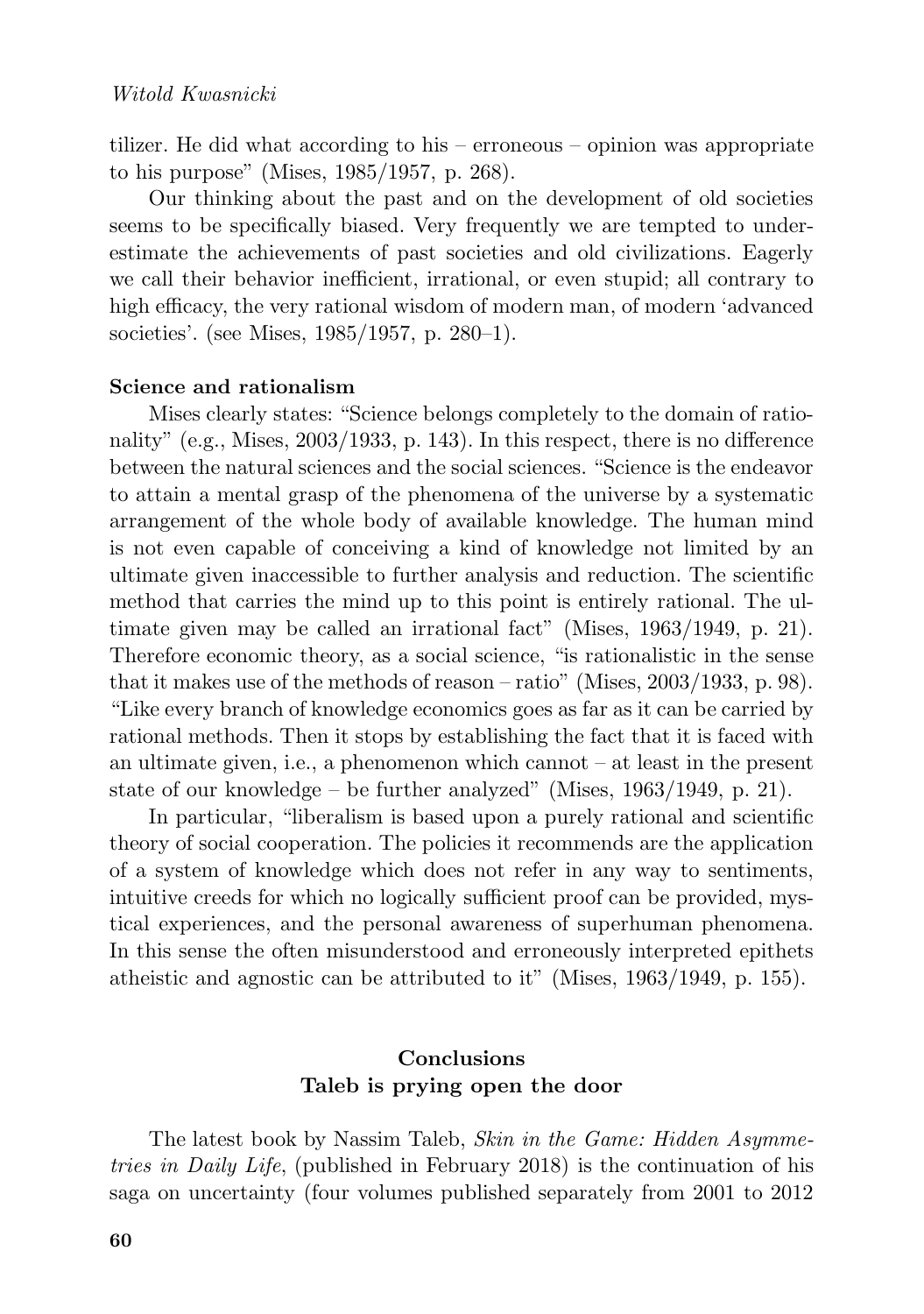tilizer. He did what according to his – erroneous – opinion was appropriate to his purpose" (Mises, 1985/1957, p. 268).

Our thinking about the past and on the development of old societies seems to be specifically biased. Very frequently we are tempted to underestimate the achievements of past societies and old civilizations. Eagerly we call their behavior inefficient, irrational, or even stupid; all contrary to high efficacy, the very rational wisdom of modern man, of modern 'advanced societies'. (see Mises, 1985/1957, p. 280–1).

#### **Science and rationalism**

Mises clearly states: "Science belongs completely to the domain of rationality" (e.g., Mises, 2003/1933, p. 143). In this respect, there is no difference between the natural sciences and the social sciences. "Science is the endeavor to attain a mental grasp of the phenomena of the universe by a systematic arrangement of the whole body of available knowledge. The human mind is not even capable of conceiving a kind of knowledge not limited by an ultimate given inaccessible to further analysis and reduction. The scientific method that carries the mind up to this point is entirely rational. The ultimate given may be called an irrational fact" (Mises, 1963/1949, p. 21). Therefore economic theory, as a social science, "is rationalistic in the sense that it makes use of the methods of reason – ratio" (Mises, 2003/1933, p. 98). "Like every branch of knowledge economics goes as far as it can be carried by rational methods. Then it stops by establishing the fact that it is faced with an ultimate given, i.e., a phenomenon which cannot – at least in the present state of our knowledge – be further analyzed" (Mises, 1963/1949, p. 21).

In particular, "liberalism is based upon a purely rational and scientific theory of social cooperation. The policies it recommends are the application of a system of knowledge which does not refer in any way to sentiments, intuitive creeds for which no logically sufficient proof can be provided, mystical experiences, and the personal awareness of superhuman phenomena. In this sense the often misunderstood and erroneously interpreted epithets atheistic and agnostic can be attributed to it" (Mises, 1963/1949, p. 155).

## **Conclusions Taleb is prying open the door**

The latest book by Nassim Taleb, *Skin in the Game: Hidden Asymmetries in Daily Life*, (published in February 2018) is the continuation of his saga on uncertainty (four volumes published separately from 2001 to 2012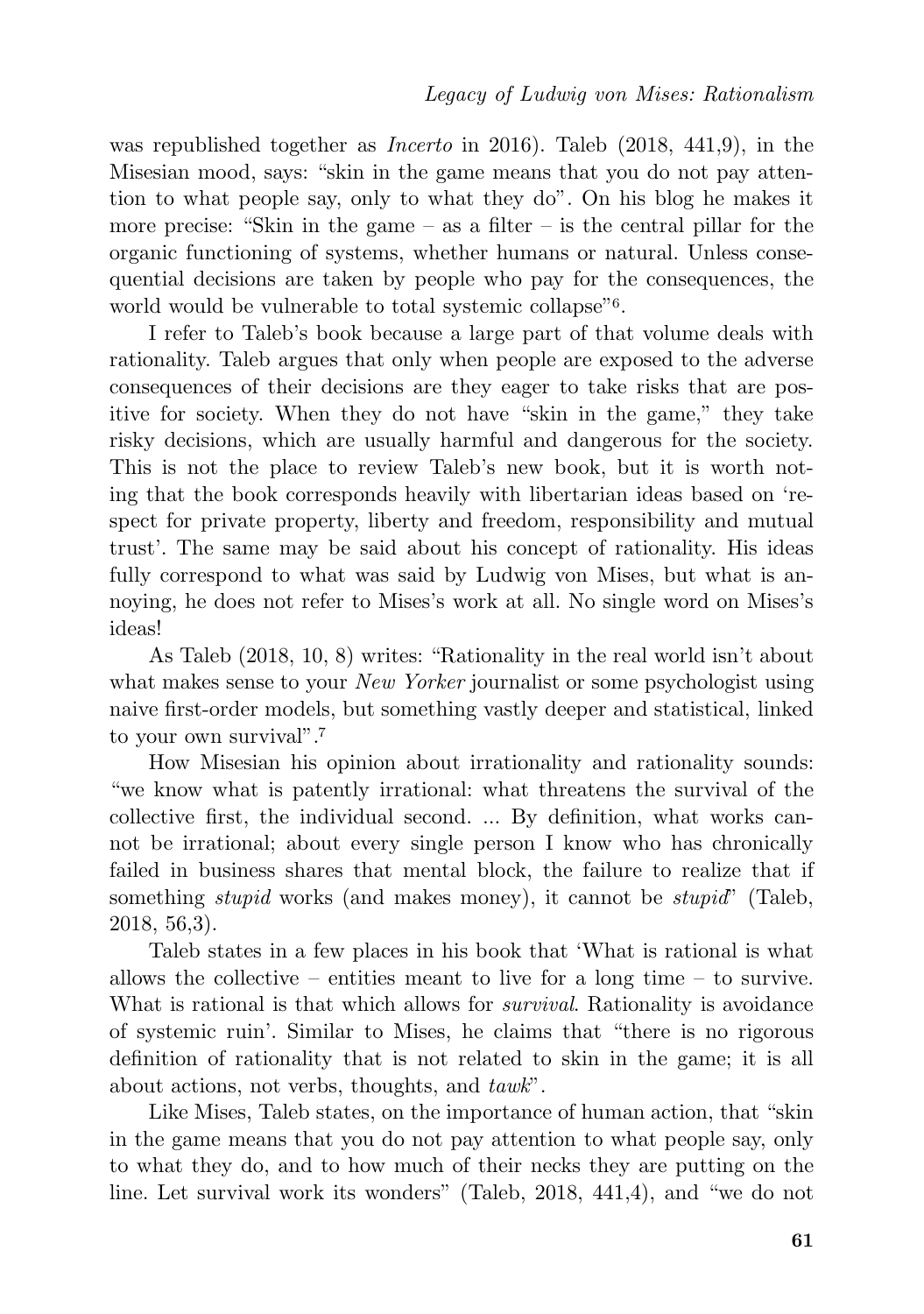was republished together as *Incerto* in 2016). Taleb (2018, 441,9), in the Misesian mood, says: "skin in the game means that you do not pay attention to what people say, only to what they do". On his blog he makes it more precise: "Skin in the game  $-$  as a filter  $-$  is the central pillar for the organic functioning of systems, whether humans or natural. Unless consequential decisions are taken by people who pay for the consequences, the world would be vulnerable to total systemic collapse"6.

I refer to Taleb's book because a large part of that volume deals with rationality. Taleb argues that only when people are exposed to the adverse consequences of their decisions are they eager to take risks that are positive for society. When they do not have "skin in the game," they take risky decisions, which are usually harmful and dangerous for the society. This is not the place to review Taleb's new book, but it is worth noting that the book corresponds heavily with libertarian ideas based on 'respect for private property, liberty and freedom, responsibility and mutual trust'. The same may be said about his concept of rationality. His ideas fully correspond to what was said by Ludwig von Mises, but what is annoying, he does not refer to Mises's work at all. No single word on Mises's ideas!

As Taleb (2018, 10, 8) writes: "Rationality in the real world isn't about what makes sense to your *New Yorker* journalist or some psychologist using naive first-order models, but something vastly deeper and statistical, linked to your own survival".<sup>7</sup>

How Misesian his opinion about irrationality and rationality sounds: "we know what is patently irrational: what threatens the survival of the collective first, the individual second. ... By definition, what works cannot be irrational; about every single person I know who has chronically failed in business shares that mental block, the failure to realize that if something *stupid* works (and makes money), it cannot be *stupid*" (Taleb, 2018, 56,3).

Taleb states in a few places in his book that 'What is rational is what allows the collective – entities meant to live for a long time – to survive. What is rational is that which allows for *survival*. Rationality is avoidance of systemic ruin'. Similar to Mises, he claims that "there is no rigorous definition of rationality that is not related to skin in the game; it is all about actions, not verbs, thoughts, and *tawk*".

Like Mises, Taleb states, on the importance of human action, that "skin in the game means that you do not pay attention to what people say, only to what they do, and to how much of their necks they are putting on the line. Let survival work its wonders" (Taleb, 2018, 441,4), and "we do not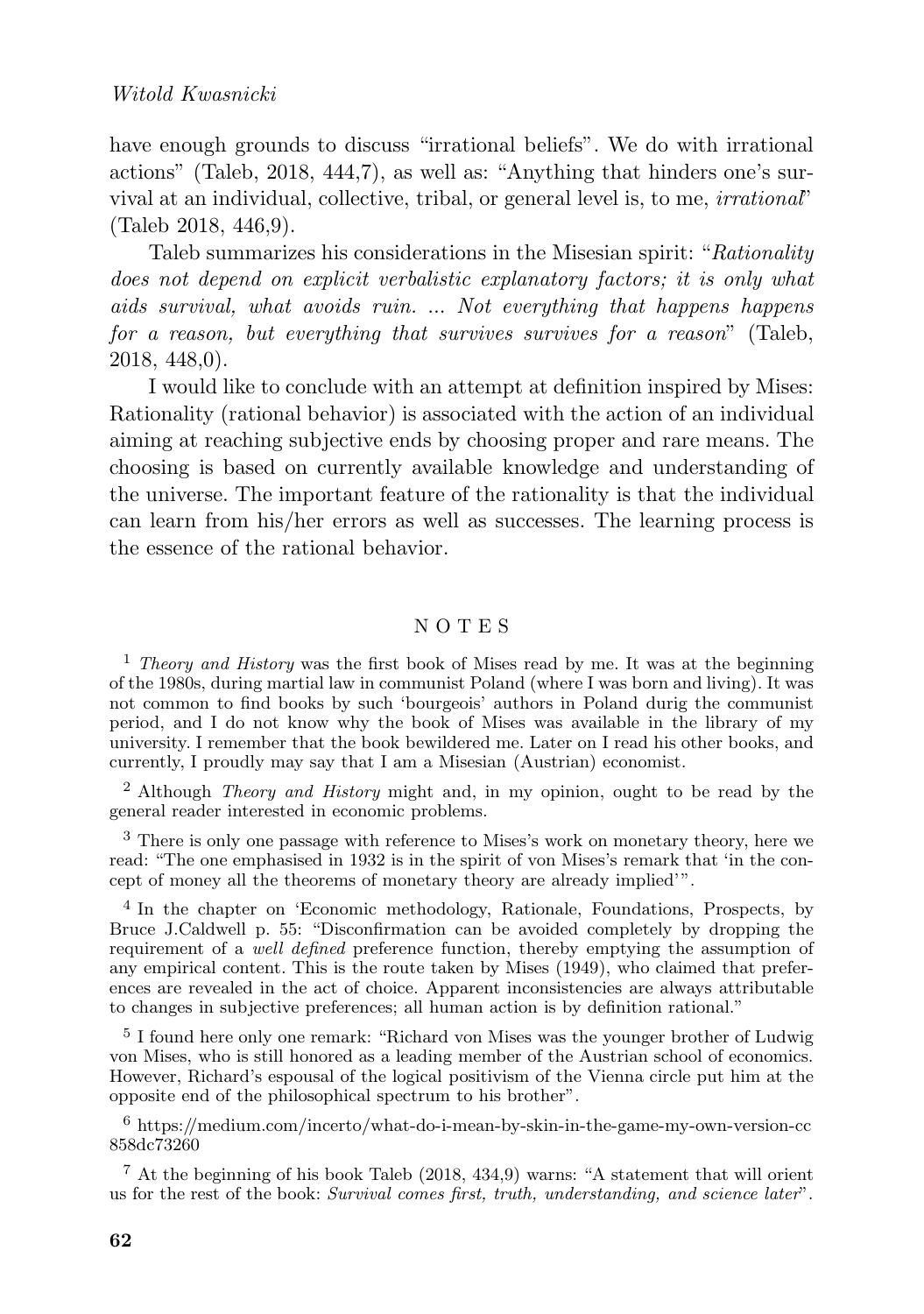have enough grounds to discuss "irrational beliefs". We do with irrational actions" (Taleb, 2018, 444,7), as well as: "Anything that hinders one's survival at an individual, collective, tribal, or general level is, to me, *irrational*" (Taleb 2018, 446,9).

Taleb summarizes his considerations in the Misesian spirit: "*Rationality does not depend on explicit verbalistic explanatory factors; it is only what aids survival, what avoids ruin.* ... *Not everything that happens happens for a reason, but everything that survives survives for a reason*" (Taleb, 2018, 448,0).

I would like to conclude with an attempt at definition inspired by Mises: Rationality (rational behavior) is associated with the action of an individual aiming at reaching subjective ends by choosing proper and rare means. The choosing is based on currently available knowledge and understanding of the universe. The important feature of the rationality is that the individual can learn from his/her errors as well as successes. The learning process is the essence of the rational behavior.

#### N O T E S

<sup>1</sup> *Theory and History* was the first book of Mises read by me. It was at the beginning of the 1980s, during martial law in communist Poland (where I was born and living). It was not common to find books by such 'bourgeois' authors in Poland durig the communist period, and I do not know why the book of Mises was available in the library of my university. I remember that the book bewildered me. Later on I read his other books, and currently, I proudly may say that I am a Misesian (Austrian) economist.

<sup>2</sup> Although *Theory and History* might and, in my opinion, ought to be read by the general reader interested in economic problems.

<sup>3</sup> There is only one passage with reference to Mises's work on monetary theory, here we read: "The one emphasised in 1932 is in the spirit of von Mises's remark that 'in the concept of money all the theorems of monetary theory are already implied'".

<sup>4</sup> In the chapter on 'Economic methodology, Rationale, Foundations, Prospects, by Bruce J.Caldwell p. 55: "Disconfirmation can be avoided completely by dropping the requirement of a *well defined* preference function, thereby emptying the assumption of any empirical content. This is the route taken by Mises (1949), who claimed that preferences are revealed in the act of choice. Apparent inconsistencies are always attributable to changes in subjective preferences; all human action is by definition rational."

<sup>5</sup> I found here only one remark: "Richard von Mises was the younger brother of Ludwig von Mises, who is still honored as a leading member of the Austrian school of economics. However, Richard's espousal of the logical positivism of the Vienna circle put him at the opposite end of the philosophical spectrum to his brother".

 $6$  https://medium.com/incerto/what-do-i-mean-by-skin-in-the-game-my-own-version-cc 858dc73260

<sup>7</sup> At the beginning of his book Taleb (2018, 434,9) warns: "A statement that will orient us for the rest of the book: *Survival comes first, truth, understanding, and science later*".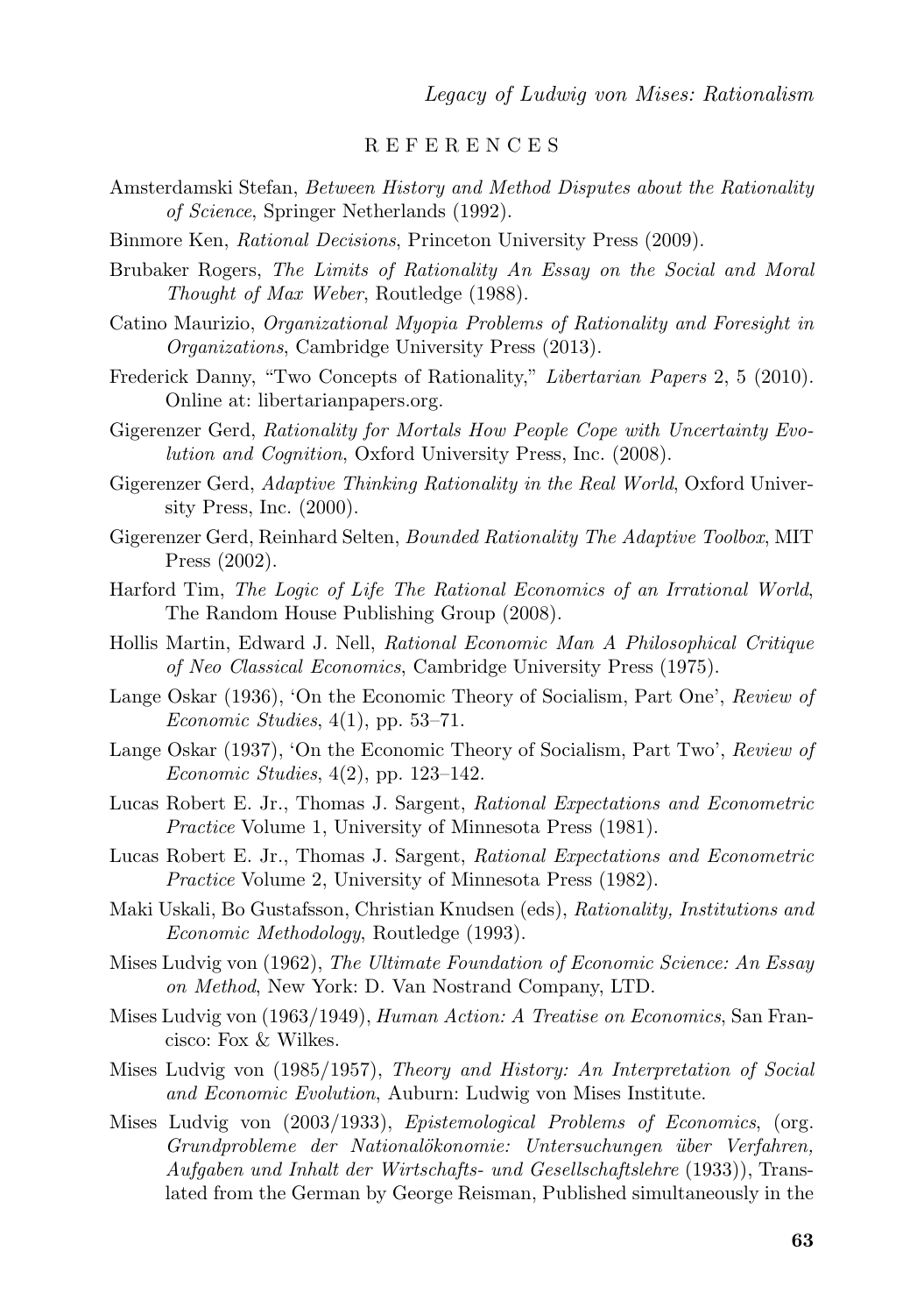#### R E F E R E N C E S

- Amsterdamski Stefan, *Between History and Method Disputes about the Rationality of Science*, Springer Netherlands (1992).
- Binmore Ken, *Rational Decisions*, Princeton University Press (2009).
- Brubaker Rogers, *The Limits of Rationality An Essay on the Social and Moral Thought of Max Weber*, Routledge (1988).
- Catino Maurizio, *Organizational Myopia Problems of Rationality and Foresight in Organizations*, Cambridge University Press (2013).
- Frederick Danny, "Two Concepts of Rationality," *Libertarian Papers* 2, 5 (2010). Online at: libertarianpapers.org.
- Gigerenzer Gerd, *Rationality for Mortals How People Cope with Uncertainty Evolution and Cognition*, Oxford University Press, Inc. (2008).
- Gigerenzer Gerd, *Adaptive Thinking Rationality in the Real World*, Oxford University Press, Inc. (2000).
- Gigerenzer Gerd, Reinhard Selten, *Bounded Rationality The Adaptive Toolbox*, MIT Press (2002).
- Harford Tim, *The Logic of Life The Rational Economics of an Irrational World*, The Random House Publishing Group (2008).
- Hollis Martin, Edward J. Nell, *Rational Economic Man A Philosophical Critique of Neo Classical Economics*, Cambridge University Press (1975).
- Lange Oskar (1936), 'On the Economic Theory of Socialism, Part One', *Review of Economic Studies*, 4(1), pp. 53–71.
- Lange Oskar (1937), 'On the Economic Theory of Socialism, Part Two', *Review of Economic Studies*, 4(2), pp. 123–142.
- Lucas Robert E. Jr., Thomas J. Sargent, *Rational Expectations and Econometric Practice* Volume 1, University of Minnesota Press (1981).
- Lucas Robert E. Jr., Thomas J. Sargent, *Rational Expectations and Econometric Practice* Volume 2, University of Minnesota Press (1982).
- Maki Uskali, Bo Gustafsson, Christian Knudsen (eds), *Rationality, Institutions and Economic Methodology*, Routledge (1993).
- Mises Ludvig von (1962), *The Ultimate Foundation of Economic Science: An Essay on Method*, New York: D. Van Nostrand Company, LTD.
- Mises Ludvig von (1963/1949), *Human Action: A Treatise on Economics*, San Francisco: Fox & Wilkes.
- Mises Ludvig von (1985/1957), *Theory and History: An Interpretation of Social and Economic Evolution*, Auburn: Ludwig von Mises Institute.
- Mises Ludvig von (2003/1933), *Epistemological Problems of Economics*, (org. *Grundprobleme der National¨okonomie: Untersuchungen ¨uber Verfahren, Aufgaben und Inhalt der Wirtschafts- und Gesellschaftslehre* (1933)), Translated from the German by George Reisman, Published simultaneously in the